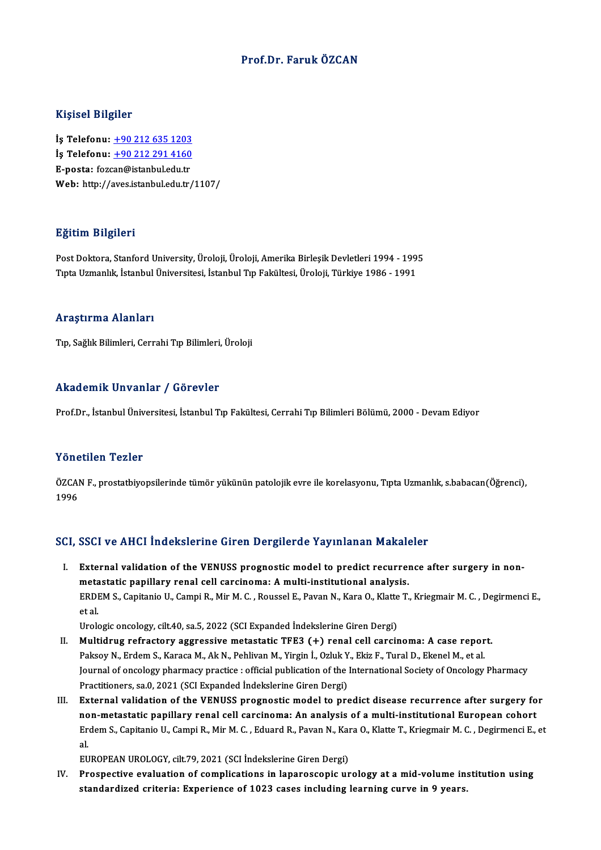#### Prof.Dr. Faruk ÖZCAN

#### Kişisel Bilgiler

İş Telefonu: +90 212 635 1203 11.91001 21.91101<br>İş Telefonu: <u>+90 212 635 1203</u><br>İş Telefonu: <u>+90 212 291 4160</u><br>E nosta: fazan@istanbul.cdu.tr İş Telefonu: <u>+90 212 635 1203</u><br>İş Telefonu: <u>+90 212 291 4160</u><br>E-posta: foz[can@istanbul.edu.tr](tel:+90 212 291 4160)<br>Web: http://aves.istanbul.edu.tr E-posta: fozcan@istanbul.edu.tr<br>Web: http://aves.istanbul.edu.tr/1107/

#### Eğitim Bilgileri

E<mark>ğitim Bilgileri</mark><br>Post Doktora, Stanford University, Üroloji, Üroloji, Amerika Birleşik Devletleri 1994 - 1995<br>Tuta Hamanlık, İstanbul Üniversitesi, İstanbul Tın Fakültesi, Üroloji, Türkiye 1996 - 1991 1914: Integrisch<br>Post Doktora, Stanford University, Üroloji, Üroloji, Amerika Birleşik Devletleri 1994 - 199<br>Tıpta Uzmanlık, İstanbul Üniversitesi, İstanbul Tıp Fakültesi, Üroloji, Türkiye 1986 - 1991 Tıpta Uzmanlık, İstanbul Üniversitesi, İstanbul Tıp Fakültesi, Üroloji, Türkiye 1986 - 1991<br>Araştırma Alanları

Tıp, Sağlık Bilimleri, Cerrahi Tıp Bilimleri, Üroloji

#### Akademik Unvanlar / Görevler

Prof.Dr., İstanbul Üniversitesi, İstanbul Tıp Fakültesi, Cerrahi Tıp Bilimleri Bölümü, 2000 - Devam Ediyor

#### Yönetilen Tezler

Yönetilen Tezler<br>ÖZCAN F., prostatbiyopsilerinde tümör yükünün patolojik evre ile korelasyonu, Tıpta Uzmanlık, s.babacan(Öğrenci),<br>1996 none<br>ÖZCAI<br>1996

## 1996<br>SCI, SSCI ve AHCI İndekslerine Giren Dergilerde Yayınlanan Makaleler

I. External validation of the VENUSS prognostic model to predict recurrence after surgery in non-External validation of the VENUSS prognostic model to predict recurrent estatic papillary renal cell carcinoma: A multi-institutional analysis.<br>EPDEM S. Conitorial L. Compi B. Min M. C., Boussel E. Bouen N. Vors O. Vlatte External validation of the VENUSS prognostic model to predict recurrence after surgery in non-<br>metastatic papillary renal cell carcinoma: A multi-institutional analysis.<br>ERDEM S., Capitanio U., Campi R., Mir M. C. , Rousse meta<br>ERDI<br><sup>Urole</sup> ERDEM S., Capitanio U., Campi R., Mir M. C. , Roussel E., Pavan N., Kara O., Klatte<br>et al.<br>Urologic oncology, cilt.40, sa.5, 2022 (SCI Expanded İndekslerine Giren Dergi)<br>Multidrug refrectoru aggressive metestatis TEE3 (+) et al.<br>I . Multidrug refractory aggressive metastatic TFE3 (+) renal cell carcinoma: A case report.<br>I . Multidrug refractory aggressive metastatic TFE3 (+) renal cell carcinoma: A case report.

- Urologic oncology, cilt.40, sa.5, 2022 (SCI Expanded İndekslerine Giren Dergi)<br>Multidrug refractory aggressive metastatic TFE3 (+) renal cell carcinoma: A case repor<br>Paksoy N., Erdem S., Karaca M., Ak N., Pehlivan M., Yirg Journal of oncology pharmacy practice : official publication of the International Society of Oncology Pharmacy<br>Practitioners, sa.0, 2021 (SCI Expanded Indekslerine Giren Dergi) Paksoy N., Erdem S., Karaca M., Ak N., Pehlivan M., Yirgin İ., Ozluk Y<br>Journal of oncology pharmacy practice : official publication of the l<br>Practitioners, sa.0, 2021 (SCI Expanded İndekslerine Giren Dergi)<br>External valida I I. It I. External of oncology pharmacy practice : official publication of the International Society of Oncology Pharmacy<br>Practitioners, sa.0, 2021 (SCI Expanded Indekslerine Giren Dergi)<br>III. External validation of the V
- Practitioners, sa.0, 2021 (SCI Expanded İndekslerine Giren Dergi)<br>External validation of the VENUSS prognostic model to predict disease recurrence after surgery fo<br>non-metastatic papillary renal cell carcinoma: An analysis External validation of the VENUSS prognostic model to predict disease recurrence after surgery for<br>non-metastatic papillary renal cell carcinoma: An analysis of a multi-institutional European cohort<br>Erdem S., Capitanio U., no<br>Er<br>eu Erdem S., Capitanio U., Campi R., Mir M. C. , Eduard R., Pavan N., Kara O., Klatte T., Kriegmair M. C. , Degirmenci E., et<br>al.<br>EUROPEAN UROLOGY, cilt.79, 2021 (SCI İndekslerine Giren Dergi)

IV. Prospective evaluation of complications in laparoscopic urology at amid-volume institution using standardized criteria: Experience of 1023 cases including learning curve in 9 years.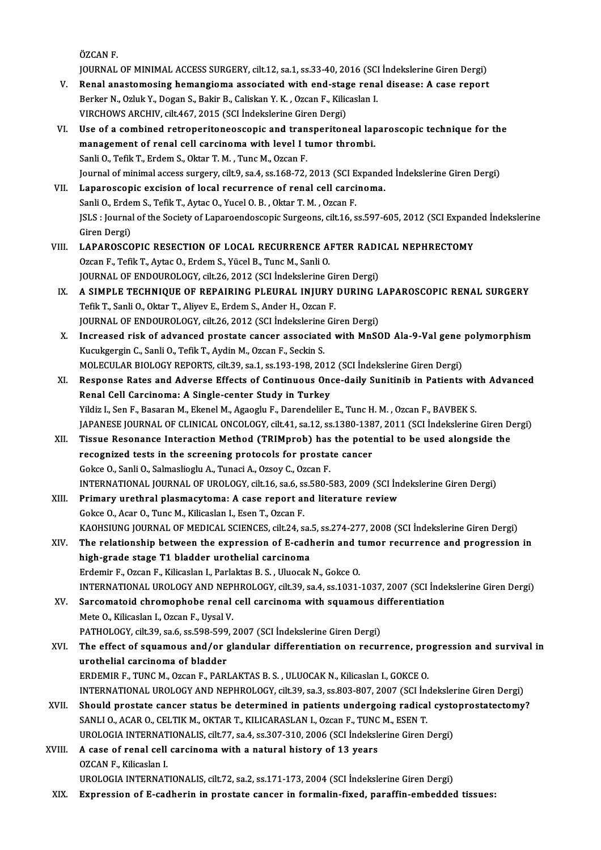ÖZCANF.

JOURNAL OF MINIMAL ACCESS SURGERY, cilt.12, sa.1, ss.33-40, 2016 (SCI İndekslerine Giren Dergi)

- ÖZCAN F.<br>JOURNAL OF MINIMAL ACCESS SURGERY, cilt.12, sa.1, ss.33-40, 2016 (SCI İndekslerine Giren Dergi)<br>V. Renal anastomosing hemangioma associated with end-stage renal disease: A case report<br>Perken N. Orkik V. Degan S. B JOURNAL OF MINIMAL ACCESS SURGERY, cilt.12, sa.1, ss.33-40, 2016 (SCI<br>Renal anastomosing hemangioma associated with end-stage rena<br>Berker N., Ozluk Y., Dogan S., Bakir B., Caliskan Y. K. , Ozcan F., Kilicaslan I.<br>VIRCHOWS Renal anastomosing hemangioma associated with end-stag<br>Berker N., Ozluk Y., Dogan S., Bakir B., Caliskan Y. K. , Ozcan F., Kilic<br>VIRCHOWS ARCHIV, cilt.467, 2015 (SCI İndekslerine Giren Dergi)<br>Use of a sombined retronoriton Berker N., Ozluk Y., Dogan S., Bakir B., Caliskan Y. K. , Ozcan F., Kilicaslan I.<br>VIRCHOWS ARCHIV, cilt467, 2015 (SCI Indekslerine Giren Dergi)<br>VI. Use of a combined retroperitoneoscopic and transperitoneal laparoscopic te
- VIRCHOWS ARCHIV, cilt467, 2015 (SCI İndekslerine Giren Dergi)<br>Use of a combined retroperitoneoscopic and transperitoneal lap<br>management of renal cell carcinoma with level I tumor thrombi.<br>Sanli O. Tofik T. Erdem S. Oktor T Use of a combined retroperitoneoscopic and tran<br>management of renal cell carcinoma with level I t<br>Sanli O., Tefik T., Erdem S., Oktar T. M. , Tunc M., Ozcan F.<br>Journal of minimal assess sursory, silt 0, sa 4, ss 169, 72 Sanli O., Tefik T., Erdem S., Oktar T. M. , Tunc M., Ozcan F.<br>Journal of minimal access surgery, cilt.9, sa.4, ss.168-72, 2013 (SCI Expanded İndekslerine Giren Dergi)
- VII. Laparoscopic excision of local recurrence of renal cell carcinoma. Journal of minimal access surgery, cilt.9, sa.4, ss.168-72, 2013 (SCI E<br>Laparoscopic excision of local recurrence of renal cell carci<br>Sanli O., Erdem S., Tefik T., Aytac O., Yucel O. B. , Oktar T. M. , Ozcan F.<br>ISLS : Jour JSLS : Journal of the Society of Laparoendoscopic Surgeons, cilt.16, ss.597-605, 2012 (SCI Expanded İndekslerine<br>Giren Dergi) Sanli O., Erde<br>JSLS : Journal<br>Giren Dergi)<br>LABABOSCO JSLS : Journal of the Society of Laparoendoscopic Surgeons, cilt.16, ss.597-605, 2012 (SCI Expand<br>Giren Dergi)<br>VIII. LAPAROSCOPIC RESECTION OF LOCAL RECURRENCE AFTER RADICAL NEPHRECTOMY<br>Organ E. Tofik T. Autre O. Erdom S.
- OzcanF.,TefikT.,AytacO.,ErdemS.,YücelB.,TuncM.,SanliO. LAPAROSCOPIC RESECTION OF LOCAL RECURRENCE AFTER RADI<br>Ozcan F., Tefik T., Aytac O., Erdem S., Yücel B., Tunc M., Sanli O.<br>JOURNAL OF ENDOUROLOGY, cilt.26, 2012 (SCI İndekslerine Giren Dergi)<br>A SIMPLE TECHNIQUE OF PERAIRING Ozcan F., Tefik T., Aytac O., Erdem S., Yücel B., Tunc M., Sanli O.<br>JOURNAL OF ENDOUROLOGY, cilt.26, 2012 (SCI İndekslerine Giren Dergi)<br>IX. — A SIMPLE TECHNIQUE OF REPAIRING PLEURAL INJURY DURING LAPAROSCOPIC RENAL SURGER
- JOURNAL OF ENDOUROLOGY, cilt.26, 2012 (SCI İndekslerine Giren Dergi)<br>A SIMPLE TECHNIQUE OF REPAIRING PLEURAL INJURY DURING I<br>Tefik T., Sanli O., Oktar T., Aliyev E., Erdem S., Ander H., Ozcan F.<br>JOURNAL OF ENDOUROLOGY, cil A SIMPLE TECHNIQUE OF REPAIRING PLEURAL INJURY DURING L<br>Tefik T., Sanli O., Oktar T., Aliyev E., Erdem S., Ander H., Ozcan F.<br>JOURNAL OF ENDOUROLOGY, cilt.26, 2012 (SCI İndekslerine Giren Dergi)<br>Inaxesesed risk of advanced Tefik T., Sanli O., Oktar T., Aliyev E., Erdem S., Ander H., Ozcan F.<br>JOURNAL OF ENDOUROLOGY, cilt.26, 2012 (SCI İndekslerine Giren Dergi)<br>X. Increased risk of advanced prostate cancer associated with MnSOD Ala-9-Val gene
- JOURNAL OF ENDOUROLOGY, cilt.26, 2012 (SCI İndekslerine<br>Increased risk of advanced prostate cancer associate<br>Kucukgergin C., Sanli O., Tefik T., Aydin M., Ozcan F., Seckin S.<br>MOLECULAR RIOLOGY RERORTS. cilt.29, sa.1, ss.19 Increased risk of advanced prostate cancer associated with MnSOD Ala-9-Val gene<br>Kucukgergin C., Sanli O., Tefik T., Aydin M., Ozcan F., Seckin S.<br>MOLECULAR BIOLOGY REPORTS, cilt.39, sa.1, ss.193-198, 2012 (SCI İndekslerine Kucukgergin C., Sanli O., Tefik T., Aydin M., Ozcan F., Seckin S.<br>MOLECULAR BIOLOGY REPORTS, cilt.39, sa.1, ss.193-198, 2012 (SCI İndekslerine Giren Dergi)<br>XI. Response Rates and Adverse Effects of Continuous Once-daily Su
- MOLECULAR BIOLOGY REPORTS, cilt.39, sa.1, ss.193-198, 2012<br>Response Rates and Adverse Effects of Continuous One<br>Renal Cell Carcinoma: A Single-center Study in Turkey<br>Vidir L. Son E. Bassran M. Ekonol M. Agasglu E. Darondol Response Rates and Adverse Effects of Continuous Once-daily Sunitinib in Patients wit<br>Renal Cell Carcinoma: A Single-center Study in Turkey<br>Yildiz I., Sen F., Basaran M., Ekenel M., Agaoglu F., Darendeliler E., Tunc H. M. Renal Cell Carcinoma: A Single-center Study in Turkey<br>Yildiz I., Sen F., Basaran M., Ekenel M., Agaoglu F., Darendeliler E., Tunc H. M. , Ozcan F., BAVBEK S.<br>JAPANESE JOURNAL OF CLINICAL ONCOLOGY, cilt.41, sa.12, ss.1380-1 Yildiz I., Sen F., Basaran M., Ekenel M., Agaoglu F., Darendeliler E., Tunc H. M. , Ozcan F., BAVBEK S.<br>JAPANESE JOURNAL OF CLINICAL ONCOLOGY, cilt.41, sa.12, ss.1380-1387, 2011 (SCI indekslerine Giren D.<br>XII. Tissue Reson
- JAPANESE JOURNAL OF CLINICAL ONCOLOGY, cilt.41, sa.12, ss.1380-138<br>Tissue Resonance Interaction Method (TRIMprob) has the poter<br>recognized tests in the screening protocols for prostate cancer XII. Tissue Resonance Interaction Method (TRIMprob) has the potential to be used alongside the recognized tests in the screening protocols for prostate cancer<br>Gokce O., Sanli O., Salmaslioglu A., Tunaci A., Ozsoy C., Ozcan recognized tests in the screening protocols for prostate cancer<br>Gokce O., Sanli O., Salmaslioglu A., Tunaci A., Ozsoy C., Ozcan F.<br>INTERNATIONAL JOURNAL OF UROLOGY, cilt.16, sa.6, ss.580-583, 2009 (SCI İndekslerine Giren D Gokce O., Sanli O., Salmaslioglu A., Tunaci A., Ozsoy C., Ozcan F.<br>INTERNATIONAL JOURNAL OF UROLOGY, cilt.16, sa.6, ss.580-583, 2009 (SCI İnextire review<br>XIII. Primary urethral plasmacytoma: A case report and literature re
- INTERNATIONAL JOURNAL OF UROLOGY, cilt.16, sa.6, s.<br>Primary urethral plasmacytoma: A case report an<br>Gokce O., Acar O., Tunc M., Kilicaslan I., Esen T., Ozcan F.<br>KAOUSUING JOURNAL OF MEDICAL SCIENCES, gilt.24, 3 Primary urethral plasmacytoma: A case report and literature review<br>Gokce O., Acar O., Tunc M., Kilicaslan I., Esen T., Ozcan F.<br>KAOHSIUNG JOURNAL OF MEDICAL SCIENCES, cilt.24, sa.5, ss.274-277, 2008 (SCI İndekslerine Giren Gokce O., Acar O., Tunc M., Kilicaslan I., Esen T., Ozcan F.<br>KAOHSIUNG JOURNAL OF MEDICAL SCIENCES, cilt.24, sa.5, ss.274-277, 2008 (SCI İndekslerine Giren Dergi)<br>XIV. The relationship between the expression of E-cadherin
- KAOHSIUNG JOURNAL OF MEDICAL SCIENCES, cilt.24, sa.<br>The relationship between the expression of E-cadl<br>high-grade stage T1 bladder urothelial carcinoma<br>Endemir E. Ozen E. Kiliseelan L. Berlaktes B. S., Ulyseels The relationship between the expression of E-cadherin and tumor recurrence and progression in<br>high-grade stage T1 bladder urothelial carcinoma<br>Erdemir F., Ozcan F., Kilicaslan I., Parlaktas B. S. , Uluocak N., Gokce O. INTERNATIONALUROLOGYANDNEPHROLOGY, cilt.39, sa.4, ss.1031-1037,2007 (SCI İndekslerineGirenDergi) Erdemir F., Ozcan F., Kilicaslan I., Parlaktas B. S. , Uluocak N., Gokce O.<br>INTERNATIONAL UROLOGY AND NEPHROLOGY, cilt.39, sa.4, ss.1031-1037, 2007 (SCI Inde<br>XV. Sarcomatoid chromophobe renal cell carcinoma with squamous d
- INTERNATIONAL UROLOGY AND NEP<br>Sarcomatoid chromophobe renal<br>Mete O., Kilicaslan I., Ozcan F., Uysal V.<br>PATHOLOGY silt 29, 826, 85,508,509 Sarcomatoid chromophobe renal cell carcinoma with squamous d<br>Mete O., Kilicaslan I., Ozcan F., Uysal V.<br>PATHOLOGY, cilt.39, sa.6, ss.598-599, 2007 (SCI İndekslerine Giren Dergi)<br>The effect of squamous and (or glandular dif
- Mete O., Kilicaslan I., Ozcan F., Uysal V.<br>PATHOLOGY, cilt.39, sa.6, ss.598-599, 2007 (SCI İndekslerine Giren Dergi)<br>XVI. The effect of squamous and/or glandular differentiation on recurrence, progression and survival PATHOLOGY, cilt.39, sa.6, ss.598-599<br>The effect of squamous and/or g<br>urothelial carcinoma of bladder<br>EPDEMIR E. TINC M. OZSP E. BARI The effect of squamous and/or glandular differentiation on recurrence, pro<br>urothelial carcinoma of bladder<br>ERDEMIR F., TUNC M., Ozcan F., PARLAKTAS B. S. , ULUOCAK N., Kilicaslan I., GOKCE O.<br>INTERNATIONAL UROLOCY AND NERH urothelial carcinoma of bladder<br>ERDEMIR F., TUNC M., Ozcan F., PARLAKTAS B. S. , ULUOCAK N., Kilicaslan I., GOKCE O.<br>INTERNATIONAL UROLOGY AND NEPHROLOGY, cilt.39, sa.3, ss.803-807, 2007 (SCI İndekslerine Giren Dergi)<br>Shou ERDEMIR F., TUNC M., Ozcan F., PARLAKTAS B. S., ULUOCAK N., Kilicaslan I., GOKCE O.<br>INTERNATIONAL UROLOGY AND NEPHROLOGY, cilt.39, sa.3, ss.803-807, 2007 (SCI Indekslerine Giren Dergi)<br>XVII. Should prostate cancer status b
- INTERNATIONAL UROLOGY AND NEPHROLOGY, cilt.39, sa.3, ss.803-807, 2007 (SCI Incorporation of the Should prostate cancer status be determined in patients undergoing radical SANLI O., ACAR O., CELTIK M., OKTAR T., KILICARASLA Should prostate cancer status be determined in patients undergoing radical cystom SANLI 0., ACAR 0., CELTIK M., OKTAR T., KILICARASLAN I., Ozcan F., TUNC M., ESEN T.<br>UROLOGIA INTERNATIONALIS, cilt.77, sa.4, ss.307-310, 200
- XVIII. A case of renal cell carcinoma with a natural history of 13 years<br>OZCAN F.. Kilicaslan I. UROLOGIA INTERNAT<br>A case of renal cell<br>OZCAN F., Kilicaslan I.<br>UPOLOGIA INTERNAT UROLOGIAINTERNATIONALIS, cilt.72, sa.2, ss.171-173,2004 (SCI İndekslerineGirenDergi)
	- XIX. Expression of E-cadherin in prostate cancer in formalin-fixed, paraffin-embedded tissues: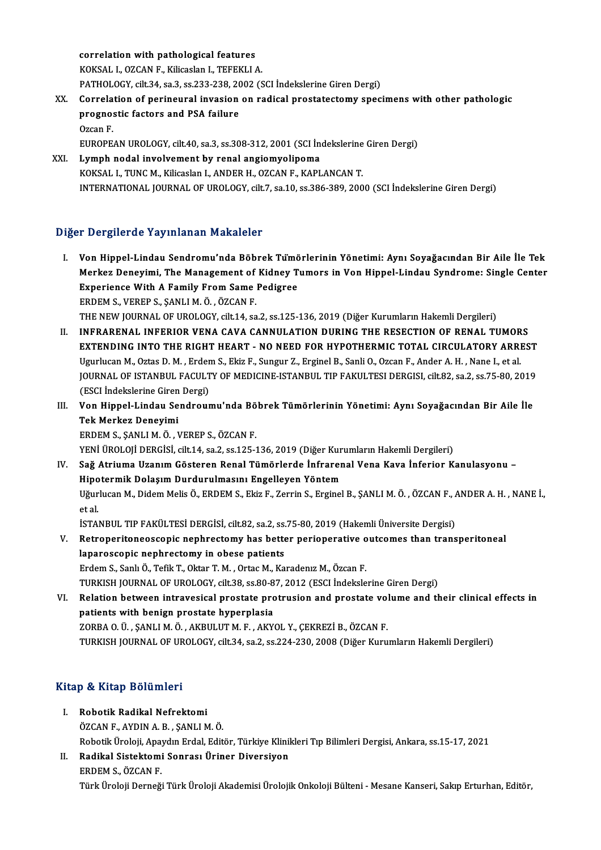correlation with pathological features KOKSAL I., OZCAN F., Kilicaslan I., TEFEKLI A. correlation with pathological features<br>KOKSAL I., OZCAN F., Kilicaslan I., TEFEKLI A.<br>PATHOLOGY, cilt.34, sa.3, ss.233-238, 2002 (SCI İndekslerine Giren Dergi)<br>Correlation of norinoural invesion on radical prestatestoru sp KOKSAL I., OZCAN F., Kilicaslan I., TEFEKLI A.<br>PATHOLOGY, cilt.34, sa.3, ss.233-238, 2002 (SCI İndekslerine Giren Dergi)<br>XX. Correlation of perineural invasion on radical prostatectomy specimens with other pathologic<br>nuces

- PATHOLOGY, cilt.34, sa.3, ss.233-238, 20<br>Correlation of perineural invasion<br>prognostic factors and PSA failure<br>Ozsan F Correl<mark>a</mark><br>progno:<br>Ozcan F.<br>FUROPE prognostic factors and PSA failure<br>Ozcan F.<br>EUROPEAN UROLOGY, cilt.40, sa.3, ss.308-312, 2001 (SCI İndekslerine Giren Dergi)<br>Lymph nodal involvement by renal angiemyelinems Ozcan F.<br>EUROPEAN UROLOGY, cilt.40, sa.3, ss.308-312, 2001 (SCI İndekslerine<br>XXI. Lymph nodal involvement by renal angiomyolipoma<br>KOKSAL I., TUNC M., Kilicaslan I., ANDER H., OZCAN F., KAPLANCAN T.
- EUROPEAN UROLOGY, cilt.40, sa.3, ss.308-312, 2001 (SCI İndekslerine<br>Lymph nodal involvement by renal angiomyolipoma<br>KOKSAL I., TUNC M., Kilicaslan I., ANDER H., OZCAN F., KAPLANCAN T.<br>INTERNATIONAL JOURNAL OF UROLOGY silt INTERNATIONAL JOURNALOFUROLOGY, cilt.7, sa.10, ss.386-389,2000 (SCI İndekslerineGirenDergi)

### Diğer Dergilerde Yayınlanan Makaleler

- Iğer Dergilerde Yayınlanan Makaleler<br>I. Von Hippel-Lindau Sendromu'nda Böbrek Tümörlerinin Yönetimi: Aynı Soyağacından Bir Aile İle Tek<br>Marker Denevimi, The Management of Kidney Tumors in Ven Hinpel Lindey Syndromey Single Merkez Deneyimi, The Management of Kidney Tumors in Von Hippel-Lindau Syndrome: Single Center<br>Experience With A Family From Same Pedigree Von Hippel-Lindau Sendromu'nda Böbrek Tümö<br>Merkez Deneyimi, The Management of Kidney T<br>Experience With A Family From Same Pedigree<br>EPDEM S, VERER S, SANLLMÖ, ÖZGAN E ERDEMS.,VEREPS.,ŞANLIM.Ö. ,ÖZCANF. THE NEW JOURNAL OF UROLOGY, cilt.14, sa.2, ss.125-136, 2019 (Diğer Kurumların Hakemli Dergileri)
- II. INFRARENAL INFERIOR VENA CAVA CANNULATION DURING THE RESECTION OF RENAL TUMORS EXTENDING INTO THE RIGHT HEART - NO NEED FOR HYPOTHERMIC TOTAL CIRCULATORY ARREST Ugurlucan M., Oztas D. M., Erdem S., Ekiz F., Sungur Z., Erginel B., Sanli O., Ozcan F., Ander A. H., Nane I., et al. EXTENDING INTO THE RIGHT HEART - NO NEED FOR HYPOTHERMIC TOTAL CIRCULATORY ARREST<br>Ugurlucan M., Oztas D. M. , Erdem S., Ekiz F., Sungur Z., Erginel B., Sanli O., Ozcan F., Ander A. H. , Nane I., et al.<br>JOURNAL OF ISTANBUL Ugurlucan M., Oztas D. M. , Erder<br>JOURNAL OF ISTANBUL FACULT<br>(ESCI İndekslerine Giren Dergi)<br>Ven Hinnel Lindeu Sendreur I I. JOURNAL OF ISTANBUL FACULTY OF MEDICINE-ISTANBUL TIP FAKULTESI DERGISI, cilt.82, sa.2, ss.75-80, 2019<br>(ESCI İndekslerine Giren Dergi)<br>III. Von Hippel-Lindau Sendroumu'nda Böbrek Tümörlerinin Yönetimi: Aynı Soyağacında
- (ESCI İndekslerine Giren Dergi)<br>III. Von Hippel-Lindau Sendroumu'nda Böbrek Tümörlerinin Yönetimi: Aynı Soyağacından Bir Aile İle<br>Tek Merkez Deneyimi ERDEMS.,ŞANLIM.Ö. ,VEREPS.,ÖZCANF. YENİ ÜROLOJİ DERGİSİ, cilt.14, sa.2, ss.125-136, 2019 (Diğer Kurumların Hakemli Dergileri)
- IV. Sağ Atriuma UzanımGösteren Renal Tümörlerde İnfrarenal Vena Kava İnferior Kanulasyonu YENİ ÜROLOJİ DERGİSİ, cilt.14, sa.2, ss.125-136, 2019 (Diğer Kur<br>Sağ Atriuma Uzanım Gösteren Renal Tümörlerde İnfrarer<br>Hipotermik Dolaşım Durdurulmasını Engelleyen Yöntem<br>Hävrkeen M. Didem Melis Ö. EPDEM S. Ekiz E. Zenrin Sağ Atriuma Uzanım Gösteren Renal Tümörlerde İnfrarenal Vena Kava İnferior Kanulasyonu –<br>Hipotermik Dolaşım Durdurulmasını Engelleyen Yöntem<br>Uğurlucan M., Didem Melis Ö., ERDEM S., Ekiz F., Zerrin S., Erginel B., ŞANLI M. Hi<mark>po</mark><br>Uğur<br>et al.<br>ismal Uğurlucan M., Didem Melis Ö., ERDEM S., Ekiz F., Zerrin S., Erginel B., ŞANLI M. Ö. , ÖZCAN F., *A*<br>et al.<br>İSTANBUL TIP FAKÜLTESİ DERGİSİ, cilt.82, sa.2, ss.75-80, 2019 (Hakemli Üniversite Dergisi)<br>Petreperitaneassania per et al.<br>ISTANBUL TIP FAKÜLTESİ DERGİSİ, cilt.82, sa.2, ss.75-80, 2019 (Hakemli Üniversite Dergisi)<br>V. Retroperitoneoscopic nephrectomy has better perioperative outcomes than transperitoneal
- laparoscopic nephrectomy in obese patients Erdem S., Sanlı Ö., Tefik T., Oktar T. M., Ortac M., Karadenız M., Özcan F. TURKISHJOURNALOFUROLOGY, cilt.38, ss.80-87,2012 (ESCI İndekslerineGirenDergi)
- VI. Relation between intravesical prostate protrusion and prostate volume and their clinical effects in patients with benign prostate hyperplasia ZORBAO.Ü. ,ŞANLIM.Ö. ,AKBULUTM.F. ,AKYOL Y.,ÇEKREZİB.,ÖZCANF. TURKISH JOURNAL OF UROLOGY, cilt.34, sa.2, ss.224-230, 2008 (Diğer Kurumların Hakemli Dergileri)

#### Kitap & Kitap Bölümleri

- I. Robotik Radikal Nefrektomi ÖZCANF.,AYDINA.B. ,ŞANLIM.Ö. Robotik Radikal Nefrektomi<br>ÖZCAN F., AYDIN A. B. , ŞANLI M. Ö.<br>Robotik Üroloji, Apaydın Erdal, Editör, Türkiye Klinikleri Tıp Bilimleri Dergisi, Ankara, ss.15-17, 2021<br>Rodikal Sistektomi Sonnası Üriner Diversiyan
- II. Radikal Sistektomi Sonrası Üriner Diversiyon<br>ERDEM S. ÖZCAN F. Robotik Üroloji, Apay<br>**Radikal Sistektom**i<br>ERDEM S., ÖZCAN F.<br>Türk Üroloji Derneğ Türk Üroloji Derneği Türk Üroloji Akademisi Ürolojik Onkoloji Bülteni - Mesane Kanseri, Sakıp Erturhan, Editör,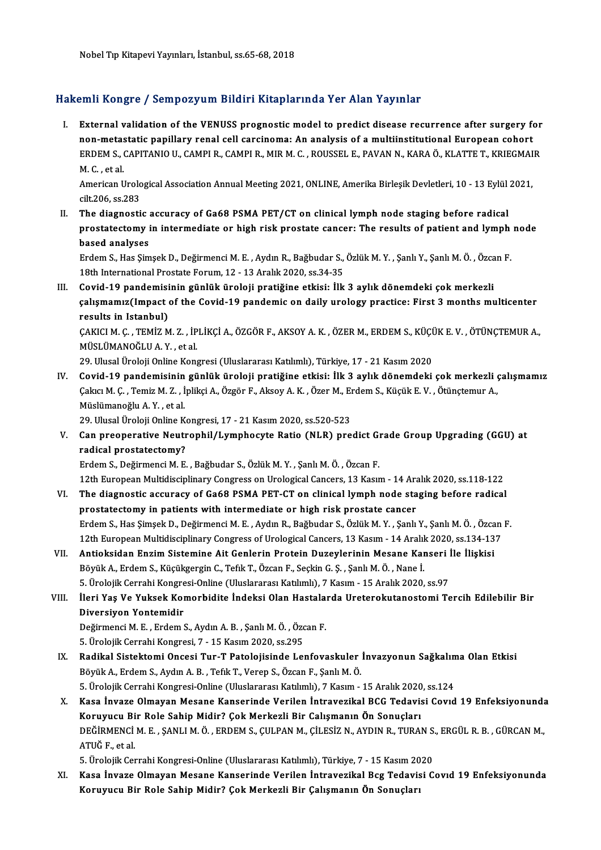## Hakemli Kongre / Sempozyum Bildiri Kitaplarında Yer Alan Yayınlar

akemli Kongre / Sempozyum Bildiri Kitaplarında Yer Alan Yayınlar<br>I. External validation of the VENUSS prognostic model to predict disease recurrence after surgery for<br>Ten metastatic papillary renal sell sarsinema: An analy External validation of the VENUSS prognostic model to predict disease recurrence after surgery for an analysis of a multiinstitutional European cohort<br>non-metastatic papillary renal cell carcinoma: An analysis of a multiin External validation of the VENUSS prognostic model to predict disease recurrence after surgery for<br>non-metastatic papillary renal cell carcinoma: An analysis of a multiinstitutional European cohort<br>ERDEM S., CAPITANIO U., non-metas<br>ERDEM S., (<br>M. C. , et al.<br>American L ERDEM S., CAPITANIO U., CAMPI R., CAMPI R., MIR M. C. , ROUSSEL E., PAVAN N., KARA Ö., KLATTE T., KRIEGMAI<br>M. C. , et al.<br>American Urological Association Annual Meeting 2021, ONLINE, Amerika Birleşik Devletleri, 10 - 13 Ey

M. C. , et al.<br>American Urological Association Annual Meeting 2021, ONLINE, Amerika Birleşik Devletleri, 10 - 13 Eylül 2021,<br>cilt,206, ss.283 American Urological Association Annual Meeting 2021, ONLINE, Amerika Birleşik Devletleri, 10 - 13 Eylül<br>cilt.206, ss.283<br>II. The diagnostic accuracy of Ga68 PSMA PET/CT on clinical lymph node staging before radical<br>prostat

cilt.206, ss.283<br>The diagnostic accuracy of Ga68 PSMA PET/CT on clinical lymph node staging before radical<br>prostatectomy in intermediate or high risk prostate cancer: The results of patient and lymph node<br>besed analyses The diagnostic<br>prostatectomy i<br>based analyses<br>Endom S. Has Sim prostatectomy in intermediate or high risk prostate cancer: The results of patient and lymph<br>based analyses<br>Erdem S., Has Şimşek D., Değirmenci M. E. , Aydın R., Bağbudar S., Özlük M. Y. , Şanlı Y., Şanlı M. Ö. , Özcan F.<br>

based analyses<br>Erdem S., Has Şimşek D., Değirmenci M. E. , Aydın R., Bağbudar S., Özlük M. Y. , Şanlı Y., Şanlı M. Ö. , Özcan F.<br>18th International Prostate Forum, 12 - 13 Aralık 2020, ss.34-35

III. Covid-19 pandemisinin günlük üroloji pratiğine etkisi: İlk 3 aylık dönemdeki çok merkezli 18th International Prostate Forum, 12 - 13 Aralık 2020, ss.34-35<br>Covid-19 pandemisinin günlük üroloji pratiğine etkisi: İlk 3 aylık dönemdeki çok merkezli<br>çalışmamız(Impact of the Covid-19 pandemic on daily urology practic Covid-19 pandemisi<br>çalışmamız(Impact<br>results in Istanbul)<br>CAKICLM C. TEMİZM çalışmamız(Impact of the Covid-19 pandemic on daily urology practice: First 3 months multicenter<br>results in Istanbul)<br>ÇAKICI M. Ç. , TEMİZ M. Z. , İPLİKÇİ A., ÖZGÖR F., AKSOY A. K. , ÖZER M., ERDEM S., KÜÇÜK E. V. , ÖTÜNÇT

results in Istanbul)<br>ÇAKICI M. Ç. , TEMİZ M. Z. , İP<br>MÜSLÜMANOĞLU A. Y. , et al.<br>29. Ulusal Üraleji Online Kana ÇAKICI M. Ç. , TEMİZ M. Z. , İPLİKÇİ A., ÖZGÖR F., AKSOY A. K. , ÖZER M., ERDEM S., KÜÇİ<br>MÜSLÜMANOĞLU A. Y. , et al.<br>29. Ulusal Üroloji Online Kongresi (Uluslararası Katılımlı), Türkiye, 17 - 21 Kasım 2020<br>Covid 19. nandam

MÜSLÜMANOĞLU A. Y. , et al.<br>19. Ulusal Üroloji Online Kongresi (Uluslararası Katılımlı), Türkiye, 17 - 21 Kasım 2020<br>19. Covid-19 pandemisinin günlük üroloji pratiğine etkisi: İlk 3 aylık dönemdeki çok merkezli çalışmamız 29. Ulusal Üroloji Online Kongresi (Uluslararası Katılımlı), Türkiye, 17 - 21 Kasım 2020<br>Covid-19 pandemisinin günlük üroloji pratiğine etkisi: İlk 3 aylık dönemdeki çok merkezli <sub>!</sub><br>Çakıcı M. Ç. , Temiz M. Z. , İplikçi A. Covid-19 pandemisinin<br>Çakıcı M. Ç. , Temiz M. Z. , İ<br>Müslümanoğlu A. Y. , et al.<br>29. Illusal Üralaji Online K Çakıcı M. Ç. , Temiz M. Z. , İplikçi A., Özgör F., Aksoy A. K. , Özer M., El<br>Müslümanoğlu A. Y. , et al.<br>29. Ulusal Üroloji Online Kongresi, 17 - 21 Kasım 2020, ss.520-523<br>Can preenerative Neutrephil (Lumpheevte Patie (NLP

Müslümanoğlu A. Y. , et al.<br>29. Ulusal Üroloji Online Kongresi, 17 - 21 Kasım 2020, ss.520-523<br>V. Can preoperative Neutrophil/Lymphocyte Ratio (NLR) predict Grade Group Upgrading (GGU) at<br>radical prestatestery? 29. Ulusal Üroloji Online Kongresi, 17 - 21 Kasım 2020, ss.520-523<br>Can preoperative Neutrophil/Lymphocyte Ratio (NLR) predict G:<br>radical prostatectomy?<br>Erdem S., Değirmenci M. E., Bağbudar S., Özlük M. Y., Şanlı M. Ö., Özc Can preoperative Neutrophil/Lymphocyte Ratio (NLR) predict G:<br>radical prostatectomy?<br>Erdem S., Değirmenci M. E. , Bağbudar S., Özlük M. Y. , Şanlı M. Ö. , Özcan F.<br>12th European Multidissiplinery Congress on Urologisal Con radical prostatectomy?<br>Erdem S., Değirmenci M. E. , Bağbudar S., Özlük M. Y. , Şanlı M. Ö. , Özcan F.<br>12th European Multidisciplinary Congress on Urological Cancers, 13 Kasım - 14 Aralık 2020, ss.118-122<br>The diagnestia ass

- Erdem S., Değirmenci M. E. , Bağbudar S., Özlük M. Y. , Şanlı M. Ö. , Özcan F.<br>12th European Multidisciplinary Congress on Urological Cancers, 13 Kasım 14 Aralık 2020, ss.118-122<br>VI. The diagnostic accuracy of Ga68 PSMA 12th European Multidisciplinary Congress on Urological Cancers, 13 Kasım - 14 Ara<br>The diagnostic accuracy of Ga68 PSMA PET-CT on clinical lymph node sta<br>prostatectomy in patients with intermediate or high risk prostate can The diagnostic accuracy of Ga68 PSMA PET-CT on clinical lymph node staging before radical<br>prostatectomy in patients with intermediate or high risk prostate cancer<br>Erdem S., Has Şimşek D., Değirmenci M. E. , Aydın R., Bağbu prostatectomy in patients with intermediate or high risk prostate cancer<br>Erdem S., Has Şimşek D., Değirmenci M. E. , Aydın R., Bağbudar S., Özlük M. Y. , Şanlı Y., Şanlı M. Ö. , Özcan<br>12th European Multidisciplinary Congre Erdem S., Has Şimşek D., Değirmenci M. E. , Aydın R., Bağbudar S., Özlük M. Y. , Şanlı Y., Şanlı M. Ö. , Özca<br>12th European Multidisciplinary Congress of Urological Cancers, 13 Kasım - 14 Aralık 2020, ss.134-13<br>11. Antioks
- 12th European Multidisciplinary Congress of Urological Cancers, 13 Kasım 14 Aralıl<br>Antioksidan Enzim Sistemine Ait Genlerin Protein Duzeylerinin Mesane Kar<br>Böyük A., Erdem S., Küçükgergin C., Tefik T., Özcan F., Seçkin G Antioksidan Enzim Sistemine Ait Genlerin Protein Duzeylerinin Mesane Kanseri İ<br>Böyük A., Erdem S., Küçükgergin C., Tefik T., Özcan F., Seçkin G. Ş. , Şanlı M. Ö. , Nane İ.<br>5. Ürolojik Cerrahi Kongresi-Online (Uluslararası Böyük A., Erdem S., Küçükgergin C., Tefik T., Özcan F., Seçkin G. Ş. , Şanlı M. Ö. , Nane İ.<br>5. Ürolojik Cerrahi Kongresi-Online (Uluslararası Katılımlı), 7 Kasım - 15 Aralık 2020, ss.97<br>VIII. İleri Yaş Ve Yuksek Komor

5. Ürolojik Cerrahi Kongresi-Online (Uluslararası Katılımlı), 7 Kasım - 15 Aralık 2020, ss.97<br>İleri Yaş Ve Yuksek Komorbidite İndeksi Olan Hastalarda Ureterokutanostomi T<br>Diversiyon Yontemidir İleri Yaş Ve Yuksek Komorbidite İndeksi Olan Hastala:<br>Diversiyon Yontemidir<br>Değirmenci M.E., Erdem S., Aydın A.B., Şanlı M.Ö., Özcan F.<br>5. Ürelejik Cerrebi Kongresi 7 - 15 Kesun 2020, ss 205

Değirmenci M. E. , Erdem S., Aydın A. B. , Şanlı M. Ö. , Özcan F.<br>5. Ürolojik Cerrahi Kongresi, 7 - 15 Kasım 2020, ss.295

- Değirmenci M. E. , Erdem S., Aydın A. B. , Şanlı M. Ö. , Özcan F.<br>5. Ürolojik Cerrahi Kongresi, 7 15 Kasım 2020, ss.295<br>IX. Radikal Sistektomi Oncesi Tur-T Patolojisinde Lenfovaskuler İnvazyonun Sağkalıma Olan Etkisi 5. Ürolojik Cerrahi Kongresi, 7 - 15 Kasım 2020, ss.295<br>**Radikal Sistektomi Oncesi Tur-T Patolojisinde Lenfovaskuler**<br>Böyük A., Erdem S., Aydın A. B. , Tefik T., Verep S., Özcan F., Şanlı M. Ö.<br>5. Ürolojik Cerrahi Kongresi Radikal Sistektomi Oncesi Tur-T Patolojisinde Lenfovaskuler İnvazyonun Sağkalım<br>Böyük A., Erdem S., Aydın A. B. , Tefık T., Verep S., Özcan F., Şanlı M. Ö.<br>5. Ürolojik Cerrahi Kongresi-Online (Uluslararası Katılımlı), 7 Ka Böyük A., Erdem S., Aydın A. B. , Tefik T., Verep S., Özcan F., Şanlı M. Ö.<br>5. Ürolojik Cerrahi Kongresi-Online (Uluslararası Katılımlı), 7 Kasım - 15 Aralık 2020, ss.124<br>X. Kasa İnvaze Olmayan Mesane Kanserinde Verilen İn
- 5. Ürolojik Cerrahi Kongresi-Online (Uluslararası Katılımlı), 7 Kasım 15 Aralık 2020<br>Kasa İnvaze Olmayan Mesane Kanserinde Verilen İntravezikal BCG Tedavis<br>Koruyucu Bir Role Sahip Midir? Çok Merkezli Bir Calışmanın Ön So Kasa İnvaze Olmayan Mesane Kanserinde Verilen İntravezikal BCG Tedavisi Covıd 19 Enfeksiyonunda<br>Koruyucu Bir Role Sahip Midir? Çok Merkezli Bir Calışmanın Ön Sonuçları<br>DEĞİRMENCİ M. E. ,ŞANLI M. Ö. , ERDEM S., ÇULPAN M., Ç Koruyucu Bi<br>DEĞİRMENCİ<br>ATUĞ F., et al.<br>5. Ünelejik Cer DEĞİRMENCİ M. E. , ŞANLI M. Ö. , ERDEM S., ÇULPAN M., ÇİLESİZ N., AYDIN R., TURAN S.<br>ATUĞ F., et al.<br>5. Ürolojik Cerrahi Kongresi-Online (Uluslararası Katılımlı), Türkiye, 7 - 15 Kasım 2020<br>Kasa İnvara Olmayan Masana Kansa

5. Ürolojik Cerrahi Kongresi-Online (Uluslararası Katılımlı), Türkiye, 7 - 15 Kasım 2020

ATUĞ F., et al.<br>5. Ürolojik Cerrahi Kongresi-Online (Uluslararası Katılımlı), Türkiye, 7 - 15 Kasım 2020<br>XI. Kasa İnvaze Olmayan Mesane Kanserinde Verilen İntravezikal Bcg Tedavisi Covıd 19 Enfeksiyonunda<br>Koruyucu Bir Role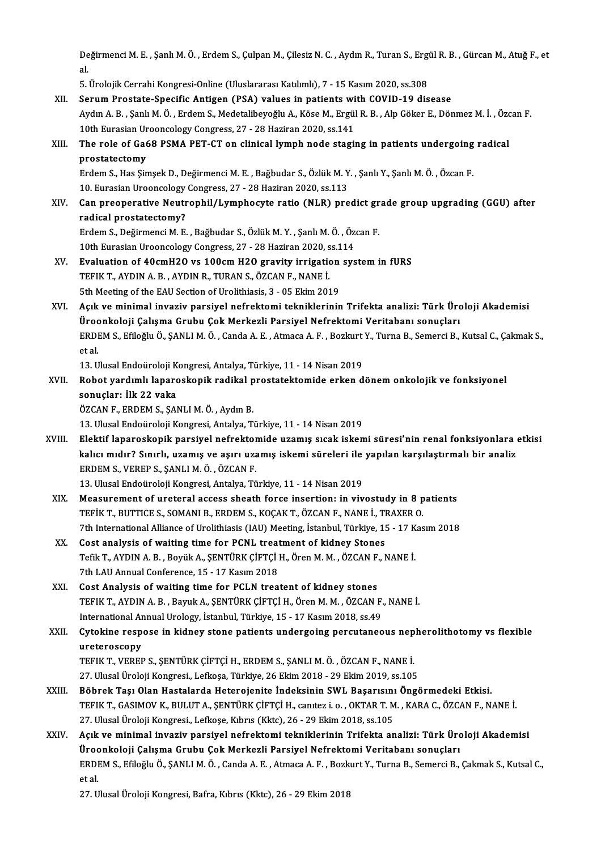Değirmenci M. E. , Şanlı M. Ö. , Erdem S., Çulpan M., Çilesiz N. C. , Aydın R., Turan S., Ergül R. B. , Gürcan M., Atuğ F., et<br>cl De<br>al.<br>E Değirmenci M. E. , Şanlı M. Ö. , Erdem S., Çulpan M., Çilesiz N. C. , Aydın R., Turan S., Ergi<br>al.<br>5. Ürolojik Cerrahi Kongresi-Online (Uluslararası Katılımlı), 7 - 15 Kasım 2020, ss.308<br>Senum Prestate Spesifis Antisen (PS

al.<br>3. Örolojik Cerrahi Kongresi-Online (Uluslararası Katılımlı), 7 - 15 Kasım 2020, ss.308<br>19 XII. Serum Prostate-Specific Antigen (PSA) values in patients with COVID-19 dis

Aydın A. B. , Şanlı M. Ö. , Erdem S., Medetalibeyoğlu A., Köse M., Ergül R. B. , Alp Göker E., Dönmez M. İ. , Özcan F.<br>10th Eurasian Urooncology Congress, 27 - 28 Haziran 2020, ss.141 Serum Prostate-Specific Antigen (PSA) values in patients with COVID-19 disease Aydın A. B. , Şanlı M. Ö. , Erdem S., Medetalibeyoğlu A., Köse M., Ergül R. B. , Alp Göker E., Dönmez M. İ. , Özc<br>10th Eurasian Urooncology Congress, 27 - 28 Haziran 2020, ss.141<br>XIII. The role of Ga68 PSMA PET-CT on c 10th Eurasian Ur<br>The role of Gate<br>prostatectomy<br>Erdom S. Hos Sin The role of Ga68 PSMA PET-CT on clinical lymph node staging in patients undergoing<br>prostatectomy<br>Erdem S., Has Şimşek D., Değirmenci M. E. , Bağbudar S., Özlük M. Y. , Şanlı Y., Şanlı M. Ö. , Özcan F.<br>10. Eurosian Uroopsel prostatectomy<br>Erdem S., Has Şimşek D., Değirmenci M. E. , Bağbudar S., Özlük M. Y<br>10. Eurasian Urooncology Congress, 27 - 28 Haziran 2020, ss.113<br>Can preenenstive Neutrephil (Lymphegyte ratio (NLP), pre Erdem S., Has Şimşek D., Değirmenci M. E. , Bağbudar S., Özlük M. Y. , Şanlı Y., Şanlı M. Ö. , Özcan F.<br>10. Eurasian Urooncology Congress, 27 - 28 Haziran 2020, ss.113<br>XIV. Can preoperative Neutrophil/Lymphocyte ratio 10. Eurasian Urooncology<br>Can preoperative Neutr<br>radical prostatectomy?<br>Erdem S. Değirmengi M. E Can preoperative Neutrophil/Lymphocyte ratio (NLR) predict gr<br>radical prostatectomy?<br>Erdem S., Değirmenci M. E. , Bağbudar S., Özlük M. Y. , Şanlı M. Ö. , Özcan F.<br>10th Eurosian Ureopselegy Congress, 27, 28 Hegiran 2020, s radical prostatectomy?<br>Erdem S., Değirmenci M. E. , Bağbudar S., Özlük M. Y. , Şanlı M. Ö. , Öz<br>10th Eurasian Urooncology Congress, 27 - 28 Haziran 2020, ss.114<br>Evaluation of 40emH20 vs.100em H20 gravity innisation sve Erdem S., Değirmenci M. E. , Bağbudar S., Özlük M. Y. , Şanlı M. Ö. , Özcan F.<br>10th Eurasian Urooncology Congress, 27 - 28 Haziran 2020, ss.114<br>XV. Evaluation of 40cmH2O vs 100cm H2O gravity irrigation system in fURS<br>TEELK 10th Eurasian Urooncology Congress, 27 - 28 Haziran 2020, s<br>**Evaluation of 40cmH2O vs 100cm H2O gravity irrigation**<br>TEFIK T., AYDIN A. B., AYDIN R., TURAN S., ÖZCAN F., NANE İ. Evaluation of 40cmH20 vs 100cm H20 gravity irrigation<br>TEFIK T., AYDIN A. B., AYDIN R., TURAN S., ÖZCAN F., NANE İ.<br>5th Meeting of the EAU Section of Urolithiasis, 3 - 05 Ekim 2019<br>Aelk ve minimal invesiv pareival pofsaktam TEFIK T., AYDIN A. B. , AYDIN R., TURAN S., ÖZCAN F., NANE İ.<br>5th Meeting of the EAU Section of Urolithiasis, 3 - 05 Ekim 2019<br>XVI. Acık ve minimal invaziv parsiyel nefrektomi tekniklerinin Trifekta analizi: Türk Ürolo 5th Meeting of the EAU Section of Urolithiasis, 3 - 05 Ekim 2019<br>Açık ve minimal invaziv parsiyel nefrektomi tekniklerinin Trifekta analizi: Türk Üro<br>Üroonkoloji Çalışma Grubu Çok Merkezli Parsiyel Nefrektomi Veritabanı so Açık ve minimal invaziv parsiyel nefrektomi tekniklerinin Trifekta analizi: Türk Üroloji Akademisi<br>Üroonkoloji Çalışma Grubu Çok Merkezli Parsiyel Nefrektomi Veritabanı sonuçları<br>ERDEM S., Efiloğlu Ö., ŞANLI M. Ö. , Canda Üroc<br>ERDI<br>et al.<br>12. U ERDEM S., Efiloğlu Ö., ŞANLI M. Ö. , Canda A. E. , Atmaca A. F. , Bozkurt<br>et al.<br>13. Ulusal Endoüroloji Kongresi, Antalya, Türkiye, 11 - 14 Nisan 2019<br>Bohat yardımlı lanaraskanik radikal prastatektamide erken d et al.<br>13. Ulusal Endoüroloji Kongresi, Antalya, Türkiye, 11 - 14 Nisan 2019<br>XVII. Robot yardımlı laparoskopik radikal prostatektomide erken dönem onkolojik ve fonksiyonel<br>Senusları İlk 22 yaka 13. Ulusal Endoüroloji K<br>Robot yardımlı laparc<br>sonuçlar: İlk 22 vaka<br>ÖZCAN E. EPDEM S. SAI sonuçlar: İlk 22 vaka<br>ÖZCAN F., ERDEM S., ŞANLI M. Ö. , Aydın B. 13. Ulusal Endoüroloji Kongresi, Antalya, Türkiye, 11 - 14 Nisan 2019 ÖZCAN F., ERDEM S., ŞANLI M. Ö. , Aydın B.<br>13. Ulusal Endoüroloji Kongresi, Antalya, Türkiye, 11 - 14 Nisan 2019<br>XVIII. Elektif laparoskopik parsiyel nefrektomide uzamış sıcak iskemi süresi'nin renal fonksiyonlara etki 13. Ulusal Endoüroloji Kongresi, Antalya, Türkiye, 11 - 14 Nisan 2019<br>Elektif laparoskopik parsiyel nefrektomide uzamış sıcak iskemi süresi'nin renal fonksiyonlara<br>kalıcı mıdır? Sınırlı, uzamış ve aşırı uzamış iskemi sürel ERDEM S., VEREP S., ŞANLI M. Ö. , ÖZCAN F.<br>13. Ulusal Endoüroloji Kongresi, Antalya, Türkiye, 11 - 14 Nisan 2019 kalıcı mıdır? Sınırlı, uzamış ve aşırı uzamış iskemi süreleri ile yapılan karşılaştırmalı bir analiz XIX. Measurement of ureteral access sheath force insertion: in vivostudy in 8 patients 13. Ulusal Endoüroloji Kongresi, Antalya, Türkiye, 11 - 14 Nisan 2019<br>Measurement of ureteral access sheath force insertion: in vivostudy in 8 p<br>TEFİK T., BUTTICE S., SOMANI B., ERDEM S., KOÇAK T., ÖZCAN F., NANE İ., TRAXE 7th International Alliance of Urolithiasis (IAU) Meeting, İstanbul, Türkiye, 15 - 17 Kasım 2018<br>Cost analysis of waiting time for PCNL treatment of kidney Stones TEFIK T., BUTTICE S., SOMANI B., ERDEM S., KOÇAK T., ÖZCAN F., NANE İ., TI<br>7th International Alliance of Urolithiasis (IAU) Meeting, İstanbul, Türkiye, 19<br>XX. Cost analysis of waiting time for PCNL treatment of kidney Ston 7th International Alliance of Urolithiasis (IAU) Meeting, İstanbul, Türkiye, 15 - 17 K<br>Cost analysis of waiting time for PCNL treatment of kidney Stones<br>Tefik T., AYDIN A. B. , Boyük A., ŞENTÜRK ÇİFTÇİ H., Ören M. M. , ÖZC Cost analysis of waiting time for PCNL treat<br>Tefik T., AYDIN A. B., Boyük A., ŞENTÜRK ÇİFTÇİ<br>7th LAU Annual Conference, 15 - 17 Kasım 2018<br>Cost Analysis of waiting time for PCLN treat Tefik T., AYDIN A. B., Boyük A., ŞENTÜRK ÇİFTÇİ H., Ören M. M., ÖZCAN F.<br>7th LAU Annual Conference, 15 - 17 Kasım 2018<br>XXI. Cost Analysis of waiting time for PCLN treatent of kidney stones<br>TEEIK T. AYDIN A. B., BOULLA, SEN 7th LAU Annual Conference, 15 - 17 Kasım 2018<br>Cost Analysis of waiting time for PCLN treatent of kidney stones<br>TEFIK T., AYDIN A. B. , Bayuk A., ŞENTÜRK ÇİFTÇİ H., Ören M. M. , ÖZCAN F., NANE İ.<br>International Annual Uralag Cost Analysis of waiting time for PCLN treatent of kidney stones<br>TEFIK T., AYDIN A. B. , Bayuk A., ŞENTÜRK ÇİFTÇİ H., Ören M. M. , ÖZCAN F.<br>International Annual Urology, İstanbul, Türkiye, 15 - 17 Kasım 2018, ss.49<br>Cytekin TEFIK T., AYDIN A. B. , Bayuk A., ŞENTÜRK ÇİFTÇİ H., Ören M. M. , ÖZCAN F., NANE İ.<br>International Annual Urology, İstanbul, Türkiye, 15 - 17 Kasım 2018, ss.49<br>XXII. Cytokine respose in kidney stone patients undergoing International Annual Urology, İstanbul, Türkiye, 15 - 17 Kasım 2018, ss.49<br>Cytokine respose in kidney stone patients undergoing percutaneous nepl<br>ureteroscopy<br>TEFIK T., VEREP S., SENTÜRK CİFTCİ H., ERDEM S., SANLI M. Ö. , Cytokine respose in kidney stone patients undergoing percutaneous nep<br>ureteroscopy<br>TEFIK T., VEREP S., ŞENTÜRK ÇİFTÇİ H., ERDEM S., ŞANLI M. Ö. , ÖZCAN F., NANE İ.<br>27 Hlugal Üreleji Kongresi, Lefkese Türkiye 26 Fkim 2019 -27.UlusalÜrolojiKongresi.,Lefkoşa,Türkiye,26Ekim2018 -29Ekim2019, ss.105 TEFIK T., VEREP S., ŞENTÜRK ÇİFTÇİ H., ERDEM S., ŞANLI M. Ö. , ÖZCAN F., NANE İ.<br>27. Ulusal Üroloji Kongresi., Lefkoşa, Türkiye, 26 Ekim 2018 - 29 Ekim 2019, ss.105<br>XXIII. Böbrek Taşı Olan Hastalarda Heterojenite İndeksini TEFIK T., GASIMOV K., BULUT A., ŞENTÜRK ÇİFTÇİ H., canıtez i. o. , OKTAR T. M. , KARA C., ÖZCAN F., NANE İ.<br>27. Ulusal Üroloji Kongresi., Lefkoşe, Kıbrıs (Kktc), 26 - 29 Ekim 2018, ss.105 Böbrek Taşı Olan Hastalarda Heterojenite İndeksinin SWL Başarısını<br>TEFIK T., GASIMOV K., BULUT A., ŞENTÜRK ÇİFTÇİ H., canıtez i. o. , OKTAR T. M<br>27. Ulusal Üroloji Kongresi., Lefkoşe, Kıbrıs (Kktc), 26 - 29 Ekim 2018, ss.1 TEFIK T., GASIMOV K., BULUT A., ŞENTÜRK ÇİFTÇİ H., canıtez i. o. , OKTAR T. M. , KARA C., ÖZCAN F., NANE İ.<br>27. Ulusal Üroloji Kongresi, Lefkoşe, Kıbrıs (Kktc), 26 - 29 Ekim 2018, ss.105<br>XXIV. Açık ve minimal invaziv parsi 27. Ulusal Üroloji Kongresi, Lefkoşe, Kıbrıs (Kktc), 26 - 29 Ekim 2018, ss.105<br>Açık ve minimal invaziv parsiyel nefrektomi tekniklerinin Trifekta analizi: Türk Üro<br>Üroonkoloji Çalışma Grubu Çok Merkezli Parsiyel Nefrektomi Açık ve minimal invaziv parsiyel nefrektomi tekniklerinin Trifekta analizi: Türk Üroloji Akademisi<br>Üroonkoloji Çalışma Grubu Çok Merkezli Parsiyel Nefrektomi Veritabanı sonuçları<br>ERDEM S., Efiloğlu Ö., ŞANLI M. Ö. , Canda **Üroc**<br>ERDI<br>et al.<br>27. U ERDEM S., Efiloğlu Ö., ŞANLI M. Ö. , Canda A. E. , Atmaca A. F. , Bozkurt Y., Turna B., Semerci B., Çakmak S., Kutsal C.,<br>et al.<br>27. Ulusal Üroloji Kongresi, Bafra, Kıbrıs (Kktc), 26 - 29 Ekim 2018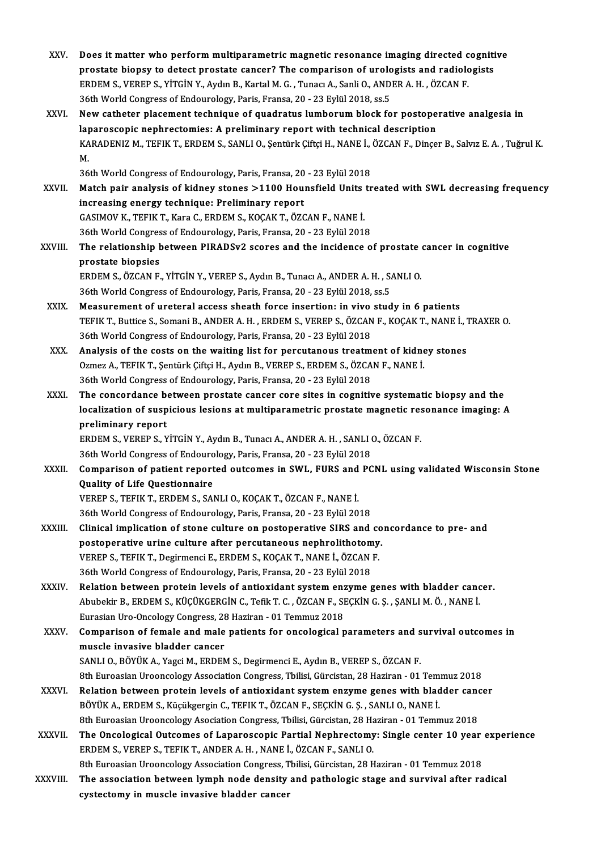- XXV. Does it matter who perform multiparametric magnetic resonance imaging directed cognitive<br>Annostate bioney to detect prestate concer? The companiesp of unelegists and pedialogists Does it matter who perform multiparametric magnetic resonance imaging directed cogniti<br>prostate biopsy to detect prostate cancer? The comparison of urologists and radiologists<br>FRDEM S, VERER S, VITCIN V, Avdy B, Kartel M, Does it matter who perform multiparametric magnetic resonance imaging directed c<br>prostate biopsy to detect prostate cancer? The comparison of urologists and radiolo<br>ERDEM S., VEREP S., YİTGİN Y., Aydın B., Kartal M. G. , T prostate biopsy to detect prostate cancer? The comparison of urologists and radiologists<br>ERDEM S., VEREP S., YİTGİN Y., Aydın B., Kartal M. G. , Tunacı A., Sanli O., ANDER A. H. , ÖZCAN F.<br>36th World Congress of Endourolog ERDEM S., VEREP S., YİTGİN Y., Aydın B., Kartal M. G., Tunacı A., Sanli O., ANDER A. H., ÖZCAN F.<br>36th World Congress of Endourology, Paris, Fransa, 20 - 23 Eylül 2018, ss.5<br>XXVI. New catheter placement technique of quadra
- 36th World Congress of Endourology, Paris, Fransa, 20 23 Eylül 2018, ss.5<br>New catheter placement technique of quadratus lumborum block for postope<br>laparoscopic nephrectomies: A preliminary report with technical descripti New catheter placement technique of quadratus lumborum block for postoperative analgesia in<br>laparoscopic nephrectomies: A preliminary report with technical description<br>KARADENIZ M., TEFIK T., ERDEM S., SANLI O., Şentürk Çi la<sub>l</sub><br>KA<br>26 KARADENIZ M., TEFIK T., ERDEM S., SANLI O., Şentürk Çiftçi H., NANE İ., |<br>M.<br>36th World Congress of Endourology, Paris, Fransa, 20 - 23 Eylül 2018<br>Match nair analysis of kidney stanes >1100 Hounsfield Units tr

- M.<br>36th World Congress of Endourology, Paris, Fransa, 20 23 Eylül 2018<br>XXVII. Match pair analysis of kidney stones >1100 Hounsfield Units treated with SWL decreasing frequency<br>increasing energy technique: Preliminary 36th World Congress of Endourology, Paris, Fransa, 20<br>Match pair analysis of kidney stones >1100 Hou:<br>increasing energy technique: Preliminary report Match pair analysis of kidney stones >1100 Hounsfield Units<br>increasing energy technique: Preliminary report<br>GASIMOV K., TEFIK T., Kara C., ERDEM S., KOÇAK T., ÖZCAN F., NANE İ.<br>26th World Congress of Endourology, Peris, Er increasing energy technique: Preliminary report<br>GASIMOV K., TEFIK T., Kara C., ERDEM S., KOÇAK T., ÖZCAN F., NANE İ.<br>36th World Congress of Endourology, Paris, Fransa, 20 - 23 Eylül 2018 GASIMOV K., TEFIK T., Kara C., ERDEM S., KOÇAK T., ÖZCAN F., NANE İ.<br>36th World Congress of Endourology, Paris, Fransa, 20 - 23 Eylül 2018<br>XXVIII. The relationship between PIRADSv2 scores and the incidence of prostate
- 36th World Congres<br>The relationship<br>prostate biopsies<br>EPDEM S. ÖZCAN E The relationship between PIRADSv2 scores and the incidence of prostate<br>prostate biopsies<br>ERDEM S., ÖZCAN F., YİTGİN Y., VEREP S., Aydın B., Tunacı A., ANDER A. H. , SANLI O.<br>26th World Congress of Endourology, Paris, Erans prostate biopsies<br>36th World Congress of Endourology, Paris, Fransa, 20 - 23 Eylül 2018, ss.5<br>36th World Congress of Endourology, Paris, Fransa, 20 - 23 Eylül 2018, ss.5

- XXIX. Measurement of ureteral access sheath force insertion: in vivo study in 6 patients TEFIK T., Buttice S., Somani B., ANDER A.H., ERDEM S., VEREP S., ÖZCAN F., KOÇAK T., NANE İ., TRAXER O. 36th World Congress of Endourology, Paris, Fransa, 20 - 23 Eylül 2018 TEFIK T., Buttice S., Somani B., ANDER A. H., ERDEM S., VEREP S., ÖZCAN F., KOÇAK T., NANE İ., 7<br>36th World Congress of Endourology, Paris, Fransa, 20 - 23 Eylül 2018<br>XXX. Analysis of the costs on the waiting list for perc
- 36th World Congress of Endourology, Paris, Fransa, 20 23 Eylül 2018<br>Analysis of the costs on the waiting list for percutanous treatment of kidne<br>Ozmez A., TEFIK T., Şentürk Çiftçi H., Aydın B., VEREP S., ERDEM S., ÖZCAN Ozmez A., TEFIK T., Şentürk Çiftçi H., Aydın B., VEREP S., ERDEM S., ÖZCAN F., NANE İ.<br>36th World Congress of Endourology, Paris, Fransa, 20 - 23 Eylül 2018 Ozmez A., TEFIK T., Şentürk Çiftçi H., Aydın B., VEREP S., ERDEM S., ÖZCAN F., NANE İ.<br>36th World Congress of Endourology, Paris, Fransa, 20 - 23 Eylül 2018<br>XXXI. The concordance between prostate cancer core sites in cogni
- 36th World Congress of Endourology, Paris, Fransa, 20 23 Eylül 2018<br>The concordance between prostate cancer core sites in cognitive systematic biopsy and the<br>localization of suspicious lesions at multiparametric prostate The concordance be<br>localization of susp<br>preliminary report<br>EPDEM S. VERER S. V localization of suspicious lesions at multiparametric prostate magnetic res<br>preliminary report<br>ERDEM S., VEREP S., YİTGİN Y., Aydın B., Tunacı A., ANDER A. H. , SANLI O., ÖZCAN F.<br>26th World Congress of Endourology, Paris,

preliminary report<br>ERDEM S., VEREP S., YİTGİN Y., Aydın B., Tunacı A., ANDER A. H. , SANLI O., ÖZCAN F.<br>36th World Congress of Endourology, Paris, Fransa, 20 - 23 Eylül 2018

ERDEM S., VEREP S., YİTGİN Y., Aydın B., Tunacı A., ANDER A. H. , SANLI O., ÖZCAN F.<br>36th World Congress of Endourology, Paris, Fransa, 20 - 23 Eylül 2018<br>XXXII. Comparison of patient reported outcomes in SWL, FURS and 36th World Congress of Endouro<br>Comparison of patient report<br>Quality of Life Questionnaire<br>VERERS TEEIVT FRARMS SAL Comparison of patient reported outcomes in SWL, FURS and<br>Quality of Life Questionnaire<br>VEREP S., TEFIK T., ERDEM S., SANLI O., KOÇAK T., ÖZCAN F., NANE İ.<br>26th World Congress of Endourelagy, Baris, Eransa, 20,, 22 Evlül 20 Quality of Life Questionnaire<br>VEREP S., TEFIK T., ERDEM S., SANLI O., KOÇAK T., ÖZCAN F., NANE İ.<br>36th World Congress of Endourology, Paris, Fransa, 20 - 23 Eylül 2018

- VEREP S., TEFIK T., ERDEM S., SANLI O., KOÇAK T., ÖZCAN F., NANE İ.<br>36th World Congress of Endourology, Paris, Fransa, 20 23 Eylül 2018<br>XXXIII. Clinical implication of stone culture on postoperative SIRS and concordance 36th World Congress of Endourology, Paris, Fransa, 20 - 23 Eylül 2018<br>Clinical implication of stone culture on postoperative SIRS and co<br>postoperative urine culture after percutaneous nephrolithotomy.<br>VERED S. TEELY T. DOG Clinical implication of stone culture on postoperative SIRS and constoperative urine culture after percutaneous nephrolithotomy<br>VEREP S., TEFIK T., Degirmenci E., ERDEM S., KOÇAK T., NANE İ., ÖZCAN F.<br>26th World Congress o postoperative urine culture after percutaneous nephrolithotom<br>VEREP S., TEFIK T., Degirmenci E., ERDEM S., KOÇAK T., NANE İ., ÖZCAN<br>36th World Congress of Endourology, Paris, Fransa, 20 - 23 Eylül 2018<br>Pelstian hetween pro
	-
- 36th World Congress of Endourology, Paris, Fransa, 20 23 Eylül 2018<br>XXXIV. Relation between protein levels of antioxidant system enzyme genes with bladder cancer. 36th World Congress of Endourology, Paris, Fransa, 20 - 23 Eylül 2018<br>Relation between protein levels of antioxidant system enzyme genes with bladder cano<br>Abubekir B., ERDEM S., KÜÇÜKGERGİN C., Tefik T. C. , ÖZCAN F., SEÇK Relation between protein levels of antioxidant system enz<br>Abubekir B., ERDEM S., KÜÇÜKGERGİN C., Tefik T. C. , ÖZCAN F., SI<br>Eurasian Uro-Oncology Congress, 28 Haziran - 01 Temmuz 2018<br>Comparison of fomale and male patients Abubekir B., ERDEM S., KÜÇÜKGERGİN C., Tefik T. C. , ÖZCAN F., SEÇKİN G. Ş. , ŞANLI M. Ö. , NANE İ.<br>Eurasian Uro-Oncology Congress, 28 Haziran - 01 Temmuz 2018<br>XXXV. Comparison of female and male patients for oncologic
- Eurasian Uro-Oncology Congress, 28 Haziran 01 Temmuz 2018<br>Comparison of female and male patients for oncological parameters and s<br>muscle invasive bladder cancer<br>SANLI 0., BÖYÜK A., Yagci M., ERDEM S., Degirmenci E., Aydı Comparison of female and male patients for oncological parameters and survival outcomes in muscle invasive bladder cancer<br>SANLI O., BÖYÜK A., Yagci M., ERDEM S., Degirmenci E., Aydın B., VEREP S., ÖZCAN F.<br>8th Euroasian Urooncology Association Congress, Tbilisi, Gürcistan, 28 Haziran - 01 Temmuz 2018<br>Belation be

- SANLI O., BÖYÜK A., Yagci M., ERDEM S., Degirmenci E., Aydın B., VEREP S., ÖZCAN F.<br>8th Euroasian Urooncology Association Congress, Tbilisi, Gürcistan, 28 Haziran 01 Temmuz 2018<br>XXXVI. Relation between protein levels of 8th Euroasian Urooncology Association Congress, Tbilisi, Gürcistan, 28 Haziran - 01 Tem<br>Relation between protein levels of antioxidant system enzyme genes with blad<br>BÖYÜK A., ERDEM S., Küçükgergin C., TEFIK T., ÖZCAN F., S Relation between protein levels of antioxidant system enzyme genes with bladder canon<br>BÖYÜK A., ERDEM S., Küçükgergin C., TEFIK T., ÖZCAN F., SEÇKİN G. Ş. , SANLI O., NANE İ.<br>8th Euroasian Urooncology Asociation Congress, BÖYÜK A., ERDEM S., Küçükgergin C., TEFIK T., ÖZCAN F., SEÇKİN G. Ş. , SANLI O., NANE İ.<br>8th Euroasian Urooncology Asociation Congress, Tbilisi, Gürcistan, 28 Haziran - 01 Temmuz 2018<br>XXXVII. The Oncological Outcomes o
- 8th Euroasian Urooncology Asociation Congress, Tbilisi, Gürcistan, 28 Haziran 01 Temmuz 2018<br>The Oncological Outcomes of Laparoscopic Partial Nephrectomy: Single center 10 year<br>ERDEM S., VEREP S., TEFIK T., ANDER A. H., The Oncological Outcomes of Laparoscopic Partial Nephrectomy: Single center 10 year<br>ERDEM S., VEREP S., TEFIK T., ANDER A. H. , NANE İ., ÖZCAN F., SANLI O.<br>8th Euroasian Urooncology Association Congress, Tbilisi, Gürcistan

ERDEM S., VEREP S., TEFIK T., ANDER A. H., NANE İ., ÖZCAN F., SANLI O.<br>8th Euroasian Urooncology Association Congress, Tbilisi, Gürcistan, 28 Haziran - 01 Temmuz 2018<br>XXXVIII. The association between lymph node density and 8th Euroasian Urooncology Association Congress, T<br>The association between lymph node density<br>cystectomy in muscle invasive bladder cancer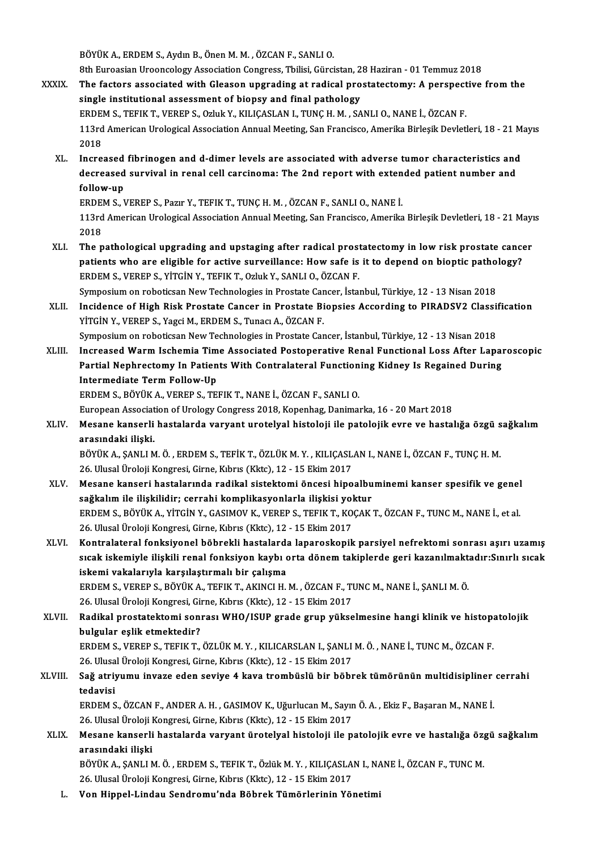BÖYÜKA.,ERDEMS.,AydınB.,ÖnenM.M. ,ÖZCANF.,SANLIO.

8th Euroasian Urooncology Association Congress, Tbilisi, Gürcistan, 28 Haziran - 01 Temmuz 2018

- BÖYÜK A., ERDEM S., Aydın B., Önen M. M. , ÖZCAN F., SANLI O.<br>8th Euroasian Urooncology Association Congress, Tbilisi, Gürcistan, 28 Haziran 01 Temmuz 2018<br>XXXIX. The factors associated with Gleason upgrading at radical 8th Euroasian Urooncology Association Congress, Tbilisi, Gürcistan, 2<br>The factors associated with Gleason upgrading at radical pro<br>single institutional assessment of biopsy and final pathology<br>EPDEM S. TEELY T. VERERS, OFW The factors associated with Gleason upgrading at radical prostatectomy: A perspect<br>single institutional assessment of biopsy and final pathology<br>ERDEM S., TEFIK T., VEREP S., Ozluk Y., KILIÇASLAN I., TUNÇ H. M. , SANLI O., single institutional assessment of biopsy and final pathology<br>ERDEM S., TEFIK T., VEREP S., Ozluk Y., KILIÇASLAN I., TUNÇ H. M. , SANLI O., NANE İ., ÖZCAN F.<br>113rd American Urological Association Annual Meeting, San Franci ERDEM S., TEFIK T., VEREP S., Ozluk Y., KILIÇASLAN I., TUNÇ H. M. , SANLI O., NANE İ., ÖZCAN F.<br>113rd American Urological Association Annual Meeting, San Francisco, Amerika Birleşik Devletl<br>2018 113rd American Urological Association Annual Meeting, San Francisco, Amerika Birleşik Devletleri, 18 - 21 M<br>2018<br>XL. Increased fibrinogen and d-dimer levels are associated with adverse tumor characteristics and<br>decreased s
	- 2018<br>Increased fibrinogen and d-dimer levels are associated with adverse tumor characteristics and<br>decreased survival in renal cell carcinoma: The 2nd report with extended patient number and<br>follow up Increased<br>decreased<br>follow-up<br>EPDEM S. J decreased survival in renal cell carcinoma: The 2nd report with exten<br>follow-up<br>ERDEM S., VEREP S., Pazır Y., TEFIK T., TUNÇ H. M. , ÖZCAN F., SANLI O., NANE İ.<br>112rd American Urolagiaal Association Annual Meeting San Fran

follow-up<br>ERDEM S., VEREP S., Pazır Y., TEFIK T., TUNÇ H. M. , ÖZCAN F., SANLI O., NANE İ.<br>113rd American Urological Association Annual Meeting, San Francisco, Amerika Birleşik Devletleri, 18 - 21 Mayıs<br>2018 ERDE<br>113rd<br>2018<br>The r 113rd American Urological Association Annual Meeting, San Francisco, Amerika Birleşik Devletleri, 18 - 21 May<br>2018<br>XLI. The pathological upgrading and upstaging after radical prostatectomy in low risk prostate cancer<br>patie

- 2018<br>The pathological upgrading and upstaging after radical prostatectomy in low risk prostate cance<br>patients who are eligible for active surveillance: How safe is it to depend on bioptic pathology?<br>EPDEM S. VERER S. VITCI The pathological upgrading and upstaging after radical prost<br>patients who are eligible for active surveillance: How safe is<br>ERDEM S., VEREP S., YİTGİN Y., TEFIK T., Ozluk Y., SANLI O., ÖZCAN F.<br>Sumposium op rabatissan Naw patients who are eligible for active surveillance: How safe is it to depend on bioptic pathology?<br>ERDEM S., VEREP S., YİTGİN Y., TEFIK T., Ozluk Y., SANLI O., ÖZCAN F. Symposium on roboticsan New Technologies in Prostate Cancer, İstanbul, Türkiye, 12 - 13 Nisan 2018
- XLII. Incidence of High Risk Prostate Cancer in Prostate Biopsies According to PIRADSV2 Classification<br>YİTGİN Y., VEREP S., Yagci M., ERDEM S., Tunacı A., ÖZCAN F. Incidence of High Risk Prostate Cancer in Prostate Biopsies According to PIRADSV2 Classi:<br>YİTGİN Y., VEREP S., Yagci M., ERDEM S., Tunacı A., ÖZCAN F.<br>Symposium on roboticsan New Technologies in Prostate Cancer, İstanbul,
- YİTGİN Y., VEREP S., Yagci M., ERDEM S., Tunacı A., ÖZCAN F.<br>Symposium on roboticsan New Technologies in Prostate Cancer, İstanbul, Türkiye, 12 13 Nisan 2018<br>XLIII. Increased Warm Ischemia Time Associated Postoperative R Symposium on roboticsan New Technologies in Prostate Cancer, İstanbul, Türkiye, 12 - 13 Nisan 2018<br>Increased Warm Ischemia Time Associated Postoperative Renal Functional Loss After Lapaı<br>Partial Nephrectomy In Patients Wit Increased Warm Ischemia Tim<br>Partial Nephrectomy In Patien<br>Intermediate Term Follow-Up<br>FRDEM S. RÖVÜK A. VERER S. TEI Partial Nephrectomy In Patients With Contralateral Functioning Kidney Is Regained During<br>Intermediate Term Follow-Up<br>ERDEM S., BÖYÜK A., VEREP S., TEFIK T., NANE İ., ÖZCAN F., SANLI O. I<mark>ntermediate Term Follow-Up</mark><br>ERDEM S., BÖYÜK A., VEREP S., TEFIK T., NANE İ., ÖZCAN F., SANLI O.<br>European Association of Urology Congress 2018, Kopenhag, Danimarka, 16 - 20 Mart 2018<br>Mesane kanserli bastalarda yarvant ura

ERDEM S., BÖYÜK A., VEREP S., TEFIK T., NANE İ., ÖZCAN F., SANLI O.<br>European Association of Urology Congress 2018, Kopenhag, Danimarka, 16 - 20 Mart 2018<br>XLIV. Mesane kanserli hastalarda varyant urotelyal histoloji ile European Associat<br>Mesane kanserli<br>arasındaki ilişki.<br>PÖVÜY A. SANLLM Mesane kanserli hastalarda varyant urotelyal histoloji ile patolojik evre ve hastalığa özgü s<br>arasındaki ilişki.<br>BÖYÜK A., ŞANLI M. Ö. , ERDEM S., TEFİK T., ÖZLÜK M. Y. , KILIÇASLAN I., NANE İ., ÖZCAN F., TUNÇ H. M.<br>26 Ulu

arasındaki ilişki.<br>BÖYÜK A., ŞANLI M. Ö. , ERDEM S., TEFİK T., ÖZLÜK M. Y. , KILIÇASLAN I., NANE İ., ÖZCAN F., TUNÇ H. M.<br>26. Ulusal Üroloji Kongresi, Girne, Kıbrıs (Kktc), 12 - 15 Ekim 2017 BÖYÜK A., ŞANLI M. Ö. , ERDEM S., TEFİK T., ÖZLÜK M. Y. , KILIÇASLAN I., NANE İ., ÖZCAN F., TUNÇ H. M.<br>26. Ulusal Üroloji Kongresi, Girne, Kıbrıs (Kktc), 12 - 15 Ekim 2017<br>XLV. Mesane kanseri hastalarında radikal sistektom

- 26. Ulusal Üroloji Kongresi, Girne, Kıbrıs (Kktc), 12 15 Ekim 2017<br>Mesane kanseri hastalarında radikal sistektomi öncesi hipoalbu<br>sağkalım ile ilişkilidir; cerrahi komplikasyonlarla ilişkisi yoktur<br>EPDEM S. BÖYÜK A. VİTC Mesane kanseri hastalarında radikal sistektomi öncesi hipoalbuminemi kanser spesifik ve genel<br>sağkalım ile ilişkilidir; cerrahi komplikasyonlarla ilişkisi yoktur<br>ERDEM S., BÖYÜK A., YİTGİN Y., GASIMOV K., VEREP S., TEFIK T sağkalım ile ilişkilidir; cerrahi komplikasyonlarla ilişkisi yol<br>ERDEM S., BÖYÜK A., YİTGİN Y., GASIMOV K., VEREP S., TEFIK T., KO<br>26. Ulusal Üroloji Kongresi, Girne, Kıbrıs (Kktc), 12 - 15 Ekim 2017<br>Kontraktoral fanksiyon ERDEM S., BÖYÜK A., YİTGİN Y., GASIMOV K., VEREP S., TEFIK T., KOÇAK T., ÖZCAN F., TUNC M., NANE İ., et al.<br>26. Ulusal Üroloji Kongresi, Girne, Kıbrıs (Kktc), 12 - 15 Ekim 2017<br>XLVI. Kontralateral fonksiyonel böbrekli hast
- 26. Ulusal Üroloji Kongresi, Girne, Kıbrıs (Kktc), 12 15 Ekim 2017<br>Kontralateral fonksiyonel böbrekli hastalarda laparoskopik parsiyel nefrektomi sonrası aşırı uzamış<br>sıcak iskemiyle ilişkili renal fonksiyon kaybı orta d Kontralateral fonksiyonel böbrekli hastalard:<br>sıcak iskemiyle ilişkili renal fonksiyon kaybı ç<br>iskemi vakalarıyla karşılaştırmalı bir çalışma<br>EPDEM S. VERER S. BÖVÜY A. TEELY T. AYINCI H sıcak iskemiyle ilişkili renal fonksiyon kaybı orta dönem takiplerde geri kazanılmakt<br>iskemi vakalarıyla karşılaştırmalı bir çalışma<br>ERDEM S., VEREP S., BÖYÜK A., TEFIK T., AKINCI H. M. , ÖZCAN F., TUNC M., NANE İ., ŞANLI

iskemi vakalarıyla karşılaştırmalı bir çalışma<br>ERDEM S., VEREP S., BÖYÜK A., TEFIK T., AKINCI H. M. , ÖZCAN F., TI<br>26. Ulusal Üroloji Kongresi, Girne, Kıbrıs (Kktc), 12 - 15 Ekim 2017<br>Padikal prostataktami saprası WHO (ISU

ERDEM S., VEREP S., BÖYÜK A., TEFIK T., AKINCI H. M. , ÖZCAN F., TUNC M., NANE İ., ŞANLI M. Ö.<br>26. Ulusal Üroloji Kongresi, Girne, Kıbrıs (Kktc), 12 - 15 Ekim 2017<br>XLVII. Radikal prostatektomi sonrası WHO/ISUP grade grup y 26. Ulusal Üroloji Kongresi, Gi<br>Radikal prostatektomi son:<br>bulgular eşlik etmektedir?<br>ЕРОЕМ S. VERER S. TEELV T Radikal prostatektomi sonrası WHO/ISUP grade grup yükselmesine hangi klinik ve histop:<br>bulgular eşlik etmektedir?<br>ERDEM S., VEREP S., TEFIK T., ÖZLÜK M. Y. , KILICARSLAN I., ŞANLI M. Ö. , NANE İ., TUNC M., ÖZCAN F.<br>26 Hluc

bulgular eşlik etmektedir?<br>ERDEM S., VEREP S., TEFIK T., ÖZLÜK M. Y. , KILICARSLAN I., ŞANLI<br>26. Ulusal Üroloji Kongresi, Girne, Kıbrıs (Kktc), 12 - 15 Ekim 2017<br>Seğ etriyumu inyage eden seviye 4 kaye trembüslü bir böhr ERDEM S., VEREP S., TEFIK T., ÖZLÜK M. Y. , KILICARSLAN I., ŞANLI M. Ö. , NANE İ., TUNC M., ÖZCAN F.<br>26. Ulusal Üroloji Kongresi, Girne, Kıbrıs (Kktc), 12 - 15 Ekim 2017<br>XLVIII. Sağ atriyumu invaze eden seviye 4 kava t

26. Ulusal Üroloji Kongresi, Girne, Kıbrıs (Kktc), 12 - 15 Ekim 2017<br>Sağ atriyumu invaze eden seviye 4 kava trombüslü bir böb<br>tedavisi Sağ atriyumu invaze eden seviye 4 kava trombüslü bir böbrek tümörünün multidisipliner<br>tedavisi<br>ERDEM S., ÖZCAN F., ANDER A. H. , GASIMOV K., Uğurlucan M., Sayın Ö. A. , Ekiz F., Başaran M., NANE İ.<br>26 Ulucal Üralaji Kangre

ERDEM S., ÖZCAN F., ANDER A. H. , GASIMOV K., Uğurlucan M., Sayın Ö. A. , Ekiz F., Başaran M., NANE İ.<br>26. Ulusal Üroloji Kongresi, Girne, Kıbrıs (Kktc), 12 - 15 Ekim 2017 ERDEM S., ÖZCAN F., ANDER A. H. , GASIMOV K., Uğurlucan M., Sayın Ö. A. , Ekiz F., Başaran M., NANE İ.<br>26. Ulusal Üroloji Kongresi, Girne, Kıbrıs (Kktc), 12 - 15 Ekim 2017<br>XLIX. Mesane kanserli hastalarda varyant ürotelyal

26. Ulusal Üroloji I<br>Mesane kanserli<br>arasındaki ilişki<br>PÖVÜY A. SANLIA Mesane kanserli hastalarda varyant ürotelyal histoloji ile patolojik evre ve hastalığa öz<sub>i</sub><br>arasındaki ilişki<br>BÖYÜK A., ŞANLI M. Ö. , ERDEM S., TEFIK T., Özlük M. Y. , KILIÇASLAN I., NANE İ., ÖZCAN F., TUNC M.<br>26 Hlugal Ü arasındaki ilişki<br>BÖYÜK A., ŞANLI M. Ö. , ERDEM S., TEFIK T., Özlük M. Y. , KILIÇASLAN I., NANE İ., ÖZCAN F., TUNC M.<br>26. Ulusal Üroloji Kongresi, Girne, Kıbrıs (Kktc), 12 - 15 Ekim 2017

L. Von Hippel-Lindau Sendromu'nda Böbrek Tümörlerinin Yönetimi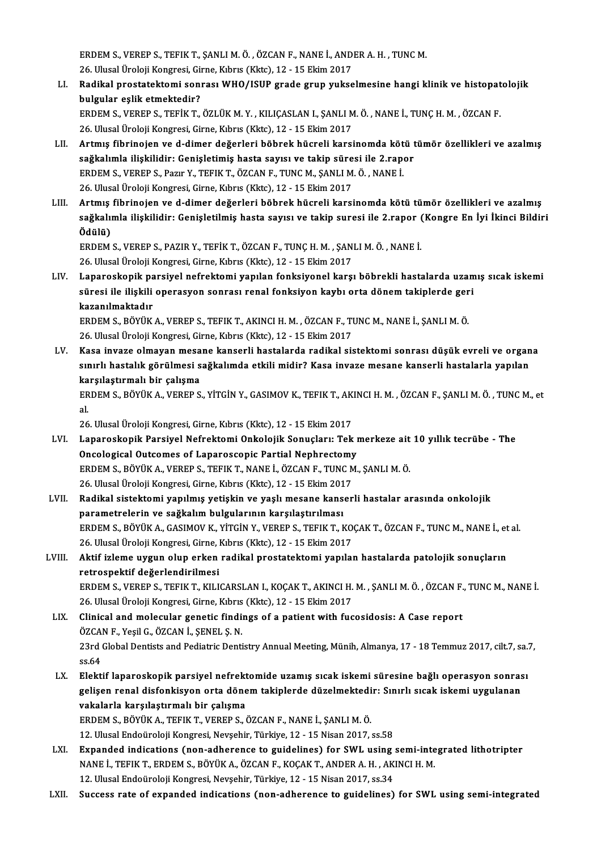ERDEM S., VEREP S., TEFIK T., ŞANLI M. Ö. , ÖZCAN F., NANE İ., ANDER A. H. , TUNC M.<br>26. Ulugal Üralaji Kongresi, Girne, Kıhrıs (Klite), 12., 15. Ekim 2017. 26.<br>26. Ulusal Üroloji Kongresi, Girne, Kıbrıs (Kktc), 12 - 15 Ekim 2017<br>Badikal prestatektemi sennası WHO (ISUP srade suup yukse 26. Ulusal Üroloji Kongresi, Girne, Kıbrıs (Kktc), 12 - 15 Ekim 2017

LI. Radikal prostatektomi sonrasıWHO/ISUP grade grup yukselmesine hangi klinik ve histopatolojik Radikal prostatektomi sonrası WHO/ISUP grade grup yukselmesine hangi klinik ve histopat<br>bulgular eşlik etmektedir?<br>ERDEM S., VEREP S., TEFİK T., ÖZLÜK M. Y. , KILIÇASLAN I., ŞANLI M. Ö. , NANE İ., TUNÇ H. M. , ÖZCAN F.<br>26

bulgular eşlik etmektedir?<br>ERDEM S., VEREP S., TEFİK T., ÖZLÜK M. Y. , KILIÇASLAN I., ŞANLI M<br>26. Ulusal Üroloji Kongresi, Girne, Kıbrıs (Kktc), 12 - 15 Ekim 2017<br>Artmış fibrinejen ve d. dimar değerleri böhrek büçreli kars ERDEM S., VEREP S., TEFİK T., ÖZLÜK M. Y. , KILIÇASLAN I., ŞANLI M. Ö. , NANE İ., TUNÇ H. M. , ÖZCAN F.<br>26. Ulusal Üroloji Kongresi, Girne, Kıbrıs (Kktc), 12 - 15 Ekim 2017<br>LII. Artmış fibrinojen ve d-dimer değerleri böbre

- 26. Ulusal Üroloji Kongresi, Girne, Kıbrıs (Kktc), 12 15 Ekim 2017<br>Artmış fibrinojen ve d-dimer değerleri böbrek hücreli karsinomda kötü t<br>sağkalımla ilişkilidir: Genişletimiş hasta sayısı ve takip süresi ile 2.rapor<br>FRD Artmış fibrinojen ve d-dimer değerleri böbrek hücreli karsinomda köt<br>sağkalımla ilişkilidir: Genişletimiş hasta sayısı ve takip süresi ile 2.rap<br>ERDEM S., VEREP S., Pazır Y., TEFIK T., ÖZCAN F., TUNC M., ŞANLI M. Ö. , NANE sağkalımla ilişkilidir: Genişletimiş hasta sayısı ve takip süresi ile 2.rapor<br>ERDEM S., VEREP S., Pazır Y., TEFIK T., ÖZCAN F., TUNC M., ŞANLI M. Ö. , NANE İ.<br>26. Ulusal Üroloji Kongresi, Girne, Kıbrıs (Kktc), 12 - 15 Ekim ERDEM S., VEREP S., Pazır Y., TEFIK T., ÖZCAN F., TUNC M., ŞANLI M. Ö. , NANE İ.<br>26. Ulusal Üroloji Kongresi, Girne, Kıbrıs (Kktc), 12 - 15 Ekim 2017<br>LIII. Artmış fibrinojen ve d-dimer değerleri böbrek hücreli karsinomda k
- sağkalımla ilişkilidir: Genişletilmiş hasta sayısı ve takip suresi ile 2.rapor (Kongre En İyi İkinci Bildiri<br>Ödülü) Artmı<mark>ş</mark><br>sağkalıı<br>Ödülü)<br>EPDEM sağkalımla ilişkilidir: Genişletilmiş hasta sayısı ve takip suresi ile 2.rapor (<br>Ödülü)<br>ERDEM S., VEREP S., PAZIR Y., TEFİK T., ÖZCAN F., TUNÇ H. M. , ŞANLI M. Ö. , NANE İ.<br>26 Hlucel Üreleji Kongresi Cirne Kıbrıs (Klte), 1

Ödülü)<br>ERDEM S., VEREP S., PAZIR Y., TEFİK T., ÖZCAN F., TUNÇ H. M. , ŞAN<br>26. Ulusal Üroloji Kongresi, Girne, Kıbrıs (Kktc), 12 - 15 Ekim 2017<br>Lanangakanik paraiyal nafraktami yanılan fanksiyanal karaı

ERDEM S., VEREP S., PAZIR Y., TEFİK T., ÖZCAN F., TUNÇ H. M. , ŞANLI M. Ö. , NANE İ.<br>26. Ulusal Üroloji Kongresi, Girne, Kıbrıs (Kktc), 12 - 15 Ekim 2017<br>LIV. Laparoskopik parsiyel nefrektomi yapılan fonksiyonel karşı 26. Ulusal Üroloji Kongresi, Girne, Kıbrıs (Kktc), 12 - 15 Ekim 2017<br>Laparoskopik parsiyel nefrektomi yapılan fonksiyonel karşı böbrekli hastalarda uzam<br>süresi ile ilişkili operasyon sonrası renal fonksiyon kaybı orta döne Laparoskopik pa<br>süresi ile ilişkili<br>kazanılmaktadır<br>EPDEM S. PÖVÜV süresi ile ilişkili operasyon sonrası renal fonksiyon kaybı orta dönem takiplerde geri<br>kazanılmaktadır<br>ERDEM S., BÖYÜK A., VEREP S., TEFIK T., AKINCI H. M. , ÖZCAN F., TUNC M., NANE İ., ŞANLI M. Ö.

26.UlusalÜrolojiKongresi,Girne,Kıbrıs (Kktc),12 -15Ekim2017 ERDEM S., BÖYÜK A., VEREP S., TEFIK T., AKINCI H. M. , ÖZCAN F., TUNC M., NANE İ., ŞANLI M. Ö.<br>26. Ulusal Üroloji Kongresi, Girne, Kıbrıs (Kktc), 12 - 15 Ekim 2017<br>LV. Kasa invaze olmayan mesane kanserli hastalarda radikal

26. Ulusal Üroloji Kongresi, Girne, Kıbrıs (Kktc), 12 - 15 Ekim 2017<br>Kasa invaze olmayan mesane kanserli hastalarda radikal sistektomi sonrası düşük evreli ve organ<br>sınırlı hastalık görülmesi sağkalımda etkili midir? Kasa Kasa invaze olmayan mesa<br>sınırlı hastalık görülmesi s<br>karşılaştırmalı bir çalışma<br>rpnrm s. pöyüv a, yrprp s sınırlı hastalık görülmesi sağkalımda etkili midir? Kasa invaze mesane kanserli hastalarla yapılan<br>karşılaştırmalı bir çalışma<br>ERDEM S., BÖYÜK A., VEREP S., YİTGİN Y., GASIMOV K., TEFIK T., AKINCI H. M. , ÖZCAN F., ŞANLI M

ka<br>ER<br>al<br>26 ERDEM S., BÖYÜK A., VEREP S., YİTGİN Y., GASIMOV K., TEFIK T., AK<br>al.<br>26. Ulusal Üroloji Kongresi, Girne, Kıbrıs (Kktc), 12 - 15 Ekim 2017<br>Lananoskanik Barsiyal Nefraktami Onkalajik Sanuslaru Tak

- al.<br>26. Ulusal Üroloji Kongresi, Girne, Kıbrıs (Kktc), 12 15 Ekim 2017<br>LVI. Laparoskopik Parsiyel Nefrektomi Onkolojik Sonuçları: Tek merkeze ait 10 yıllık tecrübe The<br>Oncologisal Outsomes of Laparossopia Bartial N 26. Ulusal Üroloji Kongresi, Girne, Kıbrıs (Kktc), 12 - 15 Ekim 2017<br>Laparoskopik Parsiyel Nefrektomi Onkolojik Sonuçları: Tek ı<br>Oncological Outcomes of Laparoscopic Partial Nephrectomy<br>FRDEM S. PÖVÜK A. VERER S. TEELK T. Laparoskopik Parsiyel Nefrektomi Onkolojik Sonuçları: Tek merkeze ait<br>Oncological Outcomes of Laparoscopic Partial Nephrectomy<br>ERDEM S., BÖYÜK A., VEREP S., TEFIK T., NANE İ., ÖZCAN F., TUNC M., ŞANLI M. Ö.<br>26 Hlucel Ürele Oncological Outcomes of Laparoscopic Partial Nephrectomy<br>ERDEM S., BÖYÜK A., VEREP S., TEFIK T., NANE İ., ÖZCAN F., TUNC M<br>26. Ulusal Üroloji Kongresi, Girne, Kıbrıs (Kktc), 12 - 15 Ekim 2017<br>Padikal sistektami yapılmış ya 26. Ulusal Üroloji Kongresi, Girne, Kıbrıs (Kktc), 12 - 15 Ekim 2017<br>LVII. Radikal sistektomi yapılmış yetişkin ve yaşlı mesane kanserli hastalar arasında onkolojik
- parametrelerin ve sağkalım bulgularının karşılaştırılması Radikal sistektomi yapılmış yetişkin ve yaşlı mesane kanserli hastalar arasında onkolojik<br>parametrelerin ve sağkalım bulgularının karşılaştırılması<br>ERDEM S., BÖYÜK A., GASIMOV K., YİTGİN Y., VEREP S., TEFIK T., KOÇAK T., Ö parametrelerin ve sağkalım bulgularının karşılaştırılması<br>ERDEM S., BÖYÜK A., GASIMOV K., YİTGİN Y., VEREP S., TEFIK T., KO<br>26. Ulusal Üroloji Kongresi, Girne, Kıbrıs (Kktc), 12 - 15 Ekim 2017<br>Aktif izloma uygun olun arkan ERDEM S., BÖYÜK A., GASIMOV K., YİTGİN Y., VEREP S., TEFIK T., KOÇAK T., ÖZCAN F., TUNC M., NANE İ., et<br>26. Ulusal Üroloji Kongresi, Girne, Kıbrıs (Kktc), 12 - 15 Ekim 2017<br>LVIII. Aktif izleme uygun olup erken radikal pros
- 26. Ulusal Üroloji Kongresi, Girne, l<br>Aktif izleme uygun olup erken<br>retrospektif değerlendirilmesi<br>EPDEM S. VERER S. TEELK T. KU L Aktif izleme uygun olup erken radikal prostatektomi yapılan hastalarda patolojik sonuçların<br>retrospektif değerlendirilmesi<br>ERDEM S., VEREP S., TEFIK T., KILICARSLAN I., KOÇAK T., AKINCI H. M. , ŞANLI M. Ö. , ÖZCAN F., TUNC

retrospektif değerlendirilmesi<br>ERDEM S., VEREP S., TEFIK T., KILICARSLAN I., KOÇAK T., AKINCI H.<br>26. Ulusal Üroloji Kongresi, Girne, Kıbrıs (Kktc), 12 - 15 Ekim 2017<br>Clinisal and malasular sanatis findings of a nationt wit ERDEM S., VEREP S., TEFIK T., KILICARSLAN I., KOÇAK T., AKINCI H. M. , ŞANLI M. Ö. , ÖZCAN F., TUNC M., NANE İ.<br>26. Ulusal Üroloji Kongresi, Girne, Kıbrıs (Kktc), 12 - 15 Ekim 2017<br>LIX. Clinical and molecular genetic f

- 26. Ulusal Üroloji Kongresi, Girne, Kıbrıs<br>Clinical and molecular genetic findi<br>ÖZCAN F., Yeşil G., ÖZCAN İ., ŞENEL Ş.N.<br>22rd Clabal Dontists and Bodiatris Donti Clinical and molecular genetic findings of a patient with fucosidosis: A Case report<br>ÖZCAN F., Yeşil G., ÖZCAN İ., ŞENEL Ş. N.<br>23rd Global Dentists and Pediatric Dentistry Annual Meeting, Münih, Almanya, 17 - 18 Temmuz 201 ÖZCA<br>23rd<br>ss.64<br>Elekti 23rd Global Dentists and Pediatric Dentistry Annual Meeting, Münih, Almanya, 17 - 18 Temmuz 2017, cilt.7, sa.<br>58.64<br>LX. Elektif laparoskopik parsiyel nefrektomide uzamış sıcak iskemi süresine bağlı operasyon sonrası
- ss.64<br>Elektif laparoskopik parsiyel nefrektomide uzamış sıcak iskemi süresine bağlı operasyon sonras<br>gelişen renal disfonkisyon orta dönem takiplerde düzelmektedir: Sınırlı sıcak iskemi uygulanan<br>vekalarla karsılastırmalı Elektif laparoskopik parsiyel nefrekt<br>gelişen renal disfonkisyon orta döne<br>vakalarla karşılaştırmalı bir çalışma<br>EPDEM S. PÖVÜV A. TEELV T. VERED S. 4 gelişen renal disfonkisyon orta dönem takiplerde düzelmektedi<br>vakalarla karşılaştırmalı bir çalışma<br>ERDEM S., BÖYÜK A., TEFIK T., VEREP S., ÖZCAN F., NANE İ., ŞANLI M. Ö.<br>12. Ulucal Endeünalaji Kanspesi Navçebir Türkiye 12 vakalarla karşılaştırmalı bir çalışma<br>ERDEM S., BÖYÜK A., TEFIK T., VEREP S., ÖZCAN F., NANE İ., ŞANLI M. Ö.<br>12. Ulusal Endoüroloji Kongresi, Nevşehir, Türkiye, 12 - 15 Nisan 2017, ss.58<br>Eynandad indisations (non adharansa

- ERDEM S., BÖYÜK A., TEFIK T., VEREP S., ÖZCAN F., NANE İ., ŞANLI M. Ö.<br>12. Ulusal Endoüroloji Kongresi, Nevşehir, Türkiye, 12 15 Nisan 2017, ss.58<br>LXI. Expanded indications (non-adherence to guidelines) for SWL using 12. Ulusal Endoüroloji Kongresi, Nevşehir, Türkiye, 12 - 15 Nisan 2017, ss.58<br>Expanded indications (non-adherence to guidelines) for SWL using semi-inte<br>NANE İ., TEFIK T., ERDEM S., BÖYÜK A., ÖZCAN F., KOÇAK T., ANDER A. H Expanded indications (non-adherence to guidelines) for SWL using<br>NANE İ., TEFIK T., ERDEM S., BÖYÜK A., ÖZCAN F., KOÇAK T., ANDER A. H. , AK<br>12. Ulusal Endoüroloji Kongresi, Nevşehir, Türkiye, 12 - 15 Nisan 2017, ss.34<br>Sug NANE İ., TEFIK T., ERDEM S., BÖYÜK A., ÖZCAN F., KOÇAK T., ANDER A. H. , AKINCI H. M.<br>12. Ulusal Endoüroloji Kongresi, Nevşehir, Türkiye, 12 - 15 Nisan 2017, ss.34<br>LXII. Success rate of expanded indications (non-adhere
-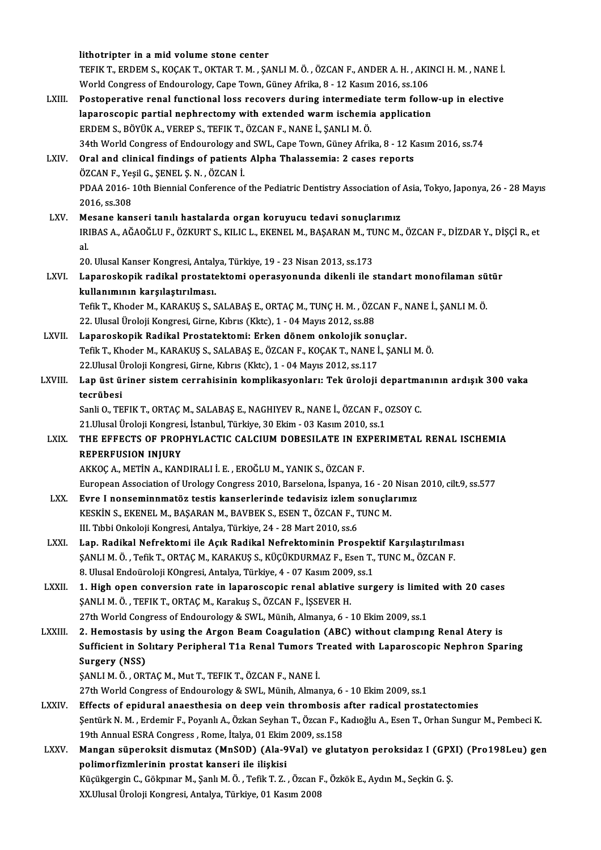|               | lithotripter in a mid volume stone center                                                                                                            |
|---------------|------------------------------------------------------------------------------------------------------------------------------------------------------|
|               | TEFIK T., ERDEM S., KOÇAK T., OKTAR T. M., ŞANLI M. Ö., ÖZCAN F., ANDER A. H., AKINCI H. M., NANE İ.                                                 |
|               | World Congress of Endourology, Cape Town, Güney Afrika, 8 - 12 Kasım 2016, ss.106                                                                    |
| LXIII.        | Postoperative renal functional loss recovers during intermediate term follow-up in elective                                                          |
|               | laparoscopic partial nephrectomy with extended warm ischemia application                                                                             |
|               | ERDEM S., BÖYÜK A., VEREP S., TEFIK T., ÖZCAN F., NANE İ., ŞANLI M. Ö.                                                                               |
|               | 34th World Congress of Endourology and SWL, Cape Town, Güney Afrika, 8 - 12 Kasım 2016, ss.74                                                        |
| LXIV.         | Oral and clinical findings of patients Alpha Thalassemia: 2 cases reports                                                                            |
|               | ÖZCAN F., Yeşil G., ŞENEL Ş. N., ÖZCAN İ.                                                                                                            |
|               | PDAA 2016-10th Biennial Conference of the Pediatric Dentistry Association of Asia, Tokyo, Japonya, 26 - 28 Mayıs                                     |
|               | 2016, ss 308                                                                                                                                         |
| LXV           | Mesane kanseri tanılı hastalarda organ koruyucu tedavi sonuçlarımız                                                                                  |
|               | IRIBAS A., AĞAOĞLU F., ÖZKURT S., KILIC L., EKENEL M., BAŞARAN M., TUNC M., ÖZCAN F., DİZDAR Y., DİŞÇİ R., et                                        |
|               | al.                                                                                                                                                  |
|               | 20. Ulusal Kanser Kongresi, Antalya, Türkiye, 19 - 23 Nisan 2013, ss.173                                                                             |
| LXVI.         | Laparoskopik radikal prostatektomi operasyonunda dikenli ile standart monofilaman sütür                                                              |
|               | kullanımının karşılaştırılması.                                                                                                                      |
|               | Tefik T., Khoder M., KARAKUŞ S., SALABAŞ E., ORTAÇ M., TUNÇ H. M., ÖZCAN F., NANE İ., ŞANLI M. Ö.                                                    |
|               | 22. Ulusal Üroloji Kongresi, Girne, Kıbrıs (Kktc), 1 - 04 Mayıs 2012, ss.88                                                                          |
| LXVII.        | Laparoskopik Radikal Prostatektomi: Erken dönem onkolojik sonuçlar.                                                                                  |
|               | Tefik T., Khoder M., KARAKUŞ S., SALABAŞ E., ÖZCAN F., KOÇAK T., NANE İ., ŞANLI M. Ö.                                                                |
|               | 22. Ulusal Üroloji Kongresi, Girne, Kıbrıs (Kktc), 1 - 04 Mayıs 2012, ss.117                                                                         |
| LXVIII.       | Lap üst üriner sistem cerrahisinin komplikasyonları: Tek üroloji departmanının ardışık 300 vaka                                                      |
|               | tecrübesi                                                                                                                                            |
|               | Sanli O., TEFIK T., ORTAÇ M., SALABAŞ E., NAGHIYEV R., NANE İ., ÖZCAN F., OZSOY C.                                                                   |
|               | 21. Ulusal Üroloji Kongresi, İstanbul, Türkiye, 30 Ekim - 03 Kasım 2010, ss.1                                                                        |
| LXIX.         | THE EFFECTS OF PROPHYLACTIC CALCIUM DOBESILATE IN EXPERIMETAL RENAL ISCHEMIA                                                                         |
|               | <b>REPERFUSION INJURY</b>                                                                                                                            |
|               | AKKOÇ A., METİN A., KANDIRALI İ. E., EROĞLU M., YANIK S., ÖZCAN F.                                                                                   |
|               | European Association of Urology Congress 2010, Barselona, İspanya, 16 - 20 Nisan 2010, cilt.9, ss.577                                                |
| LXX.          | Evre I nonseminnmatöz testis kanserlerinde tedavisiz izlem sonuçlarımız                                                                              |
|               | KESKİN S., EKENEL M., BAŞARAN M., BAVBEK S., ESEN T., ÖZCAN F., TUNC M.                                                                              |
|               | III. Tıbbi Onkoloji Kongresi, Antalya, Türkiye, 24 - 28 Mart 2010, ss.6                                                                              |
| LXXI.         | Lap. Radikal Nefrektomi ile Açık Radikal Nefrektominin Prospektif Karşılaştırılması                                                                  |
|               | ŞANLI M. Ö., Tefik T., ORTAÇ M., KARAKUŞ S., KÜÇÜKDURMAZ F., Esen T., TUNC M., ÖZCAN F.                                                              |
|               | 8. Ulusal Endoüroloji KOngresi, Antalya, Türkiye, 4 - 07 Kasım 2009, ss.1                                                                            |
| LXXII.        | 1. High open conversion rate in laparoscopic renal ablative surgery is limited with 20 cases                                                         |
|               | ŞANLI M. Ö., TEFIK T., ORTAÇ M., Karakuş S., ÖZCAN F., İŞSEVER H.                                                                                    |
|               | 27th World Congress of Endourology & SWL, Münih, Almanya, 6 - 10 Ekim 2009, ss.1                                                                     |
| <b>LXXIII</b> | 2. Hemostasis by using the Argon Beam Coagulation (ABC) without clamping Renal Atery is                                                              |
|               | Sufficient in Solitary Peripheral T1a Renal Tumors Treated with Laparoscopic Nephron Sparing                                                         |
|               | Surgery (NSS)                                                                                                                                        |
|               | ŞANLI M. Ö., ORTAÇ M., Mut T., TEFIK T., ÖZCAN F., NANE İ.                                                                                           |
|               | 27th World Congress of Endourology & SWL, Münih, Almanya, 6 - 10 Ekim 2009, ss.1                                                                     |
| <b>LXXIV</b>  | Effects of epidural anaesthesia on deep vein thrombosis after radical prostatectomies                                                                |
|               | Şentürk N. M., Erdemir F., Poyanlı A., Özkan Seyhan T., Özcan F., Kadıoğlu A., Esen T., Orhan Sungur M., Pembeci K.                                  |
|               | 19th Annual ESRA Congress, Rome, İtalya, 01 Ekim 2009, ss.158                                                                                        |
| LXXV.         | Mangan süperoksit dismutaz (MnSOD) (Ala-9Val) ve glutatyon peroksidaz I (GPXI) (Pro198Leu) gen                                                       |
|               | polimorfizmlerinin prostat kanseri ile ilişkisi<br>Küçükgergin C., Gökpınar M., Şanlı M. Ö., Tefik T. Z., Özcan F., Özkök E., Aydın M., Seçkin G. Ş. |
|               | XX.Ulusal Üroloji Kongresi, Antalya, Türkiye, 01 Kasım 2008                                                                                          |
|               |                                                                                                                                                      |